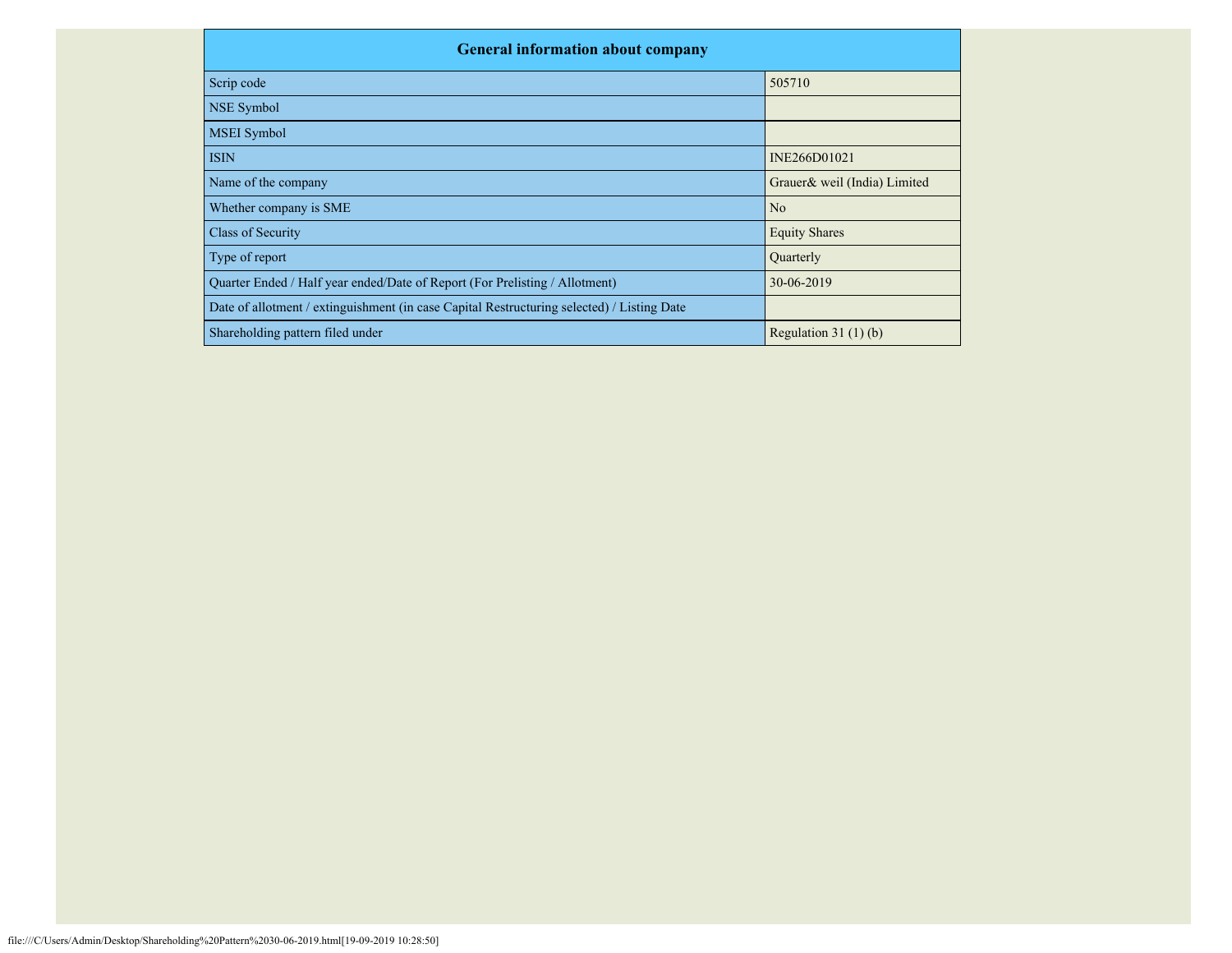| <b>General information about company</b>                                                   |                              |
|--------------------------------------------------------------------------------------------|------------------------------|
| Scrip code                                                                                 | 505710                       |
| NSE Symbol                                                                                 |                              |
| <b>MSEI</b> Symbol                                                                         |                              |
| <b>ISIN</b>                                                                                | INE266D01021                 |
| Name of the company                                                                        | Grauer& weil (India) Limited |
| Whether company is SME                                                                     | N <sub>o</sub>               |
| Class of Security                                                                          | <b>Equity Shares</b>         |
| Type of report                                                                             | Quarterly                    |
| Quarter Ended / Half year ended/Date of Report (For Prelisting / Allotment)                | 30-06-2019                   |
| Date of allotment / extinguishment (in case Capital Restructuring selected) / Listing Date |                              |
| Shareholding pattern filed under                                                           | Regulation $31(1)(b)$        |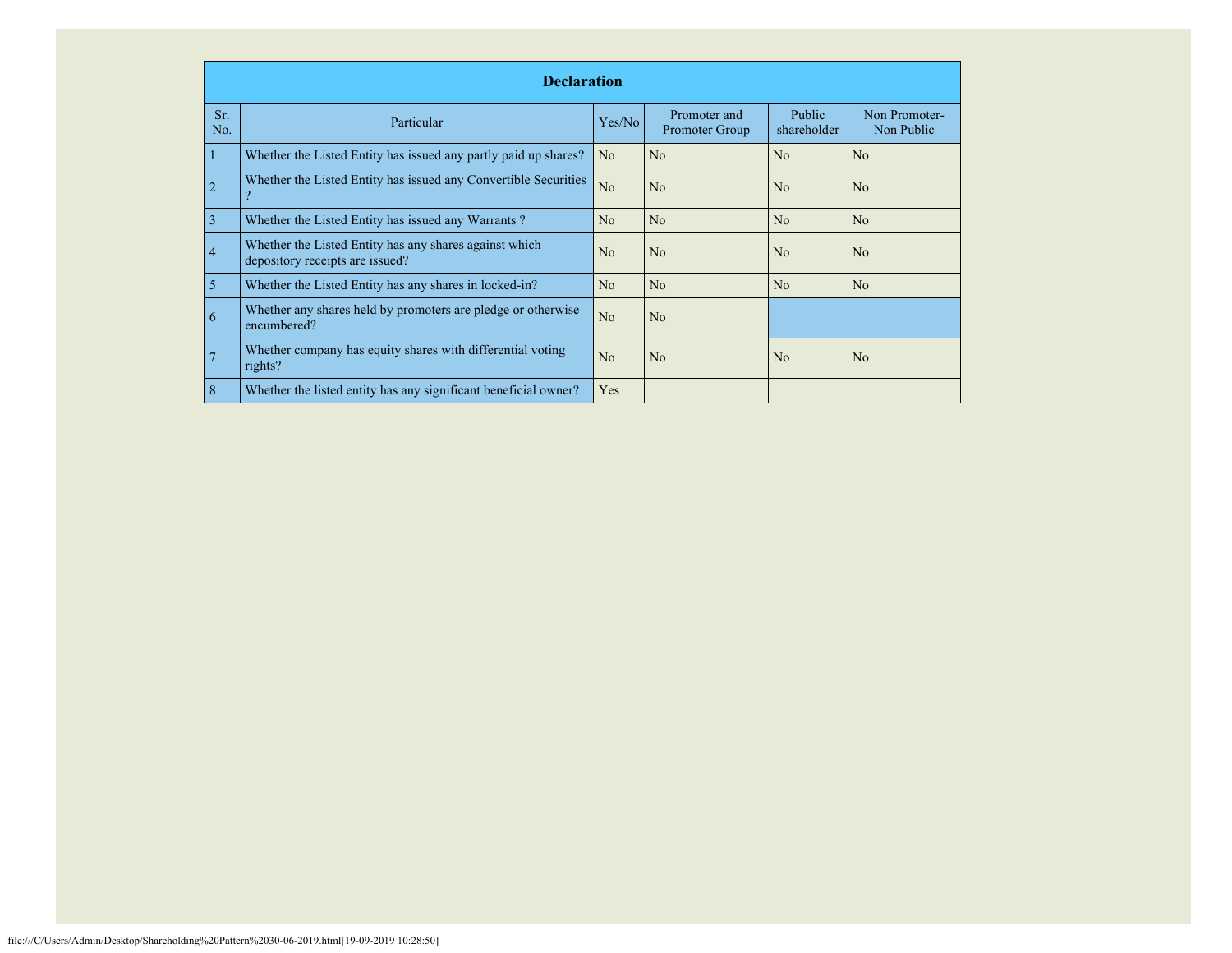|            | <b>Declaration</b>                                                                        |                |                                |                              |                             |  |  |  |
|------------|-------------------------------------------------------------------------------------------|----------------|--------------------------------|------------------------------|-----------------------------|--|--|--|
| Sr.<br>No. | Particular                                                                                | Yes/No         | Promoter and<br>Promoter Group | <b>Public</b><br>shareholder | Non Promoter-<br>Non Public |  |  |  |
|            | Whether the Listed Entity has issued any partly paid up shares?                           | N <sub>o</sub> | N <sub>o</sub>                 | No                           | N <sub>o</sub>              |  |  |  |
| 2          | Whether the Listed Entity has issued any Convertible Securities                           | No             | N <sub>o</sub>                 | N <sub>o</sub>               | N <sub>o</sub>              |  |  |  |
| 3          | Whether the Listed Entity has issued any Warrants?                                        | No             | N <sub>o</sub>                 | No                           | N <sub>o</sub>              |  |  |  |
| 4          | Whether the Listed Entity has any shares against which<br>depository receipts are issued? | N <sub>0</sub> | N <sub>o</sub>                 | N <sub>0</sub>               | N <sub>o</sub>              |  |  |  |
| 5          | Whether the Listed Entity has any shares in locked-in?                                    | N <sub>0</sub> | No                             | No                           | N <sub>o</sub>              |  |  |  |
| 6          | Whether any shares held by promoters are pledge or otherwise<br>encumbered?               | N <sub>o</sub> | N <sub>o</sub>                 |                              |                             |  |  |  |
|            | Whether company has equity shares with differential voting<br>rights?                     | N <sub>o</sub> | No                             | N <sub>0</sub>               | N <sub>o</sub>              |  |  |  |
| 8          | Whether the listed entity has any significant beneficial owner?                           | Yes            |                                |                              |                             |  |  |  |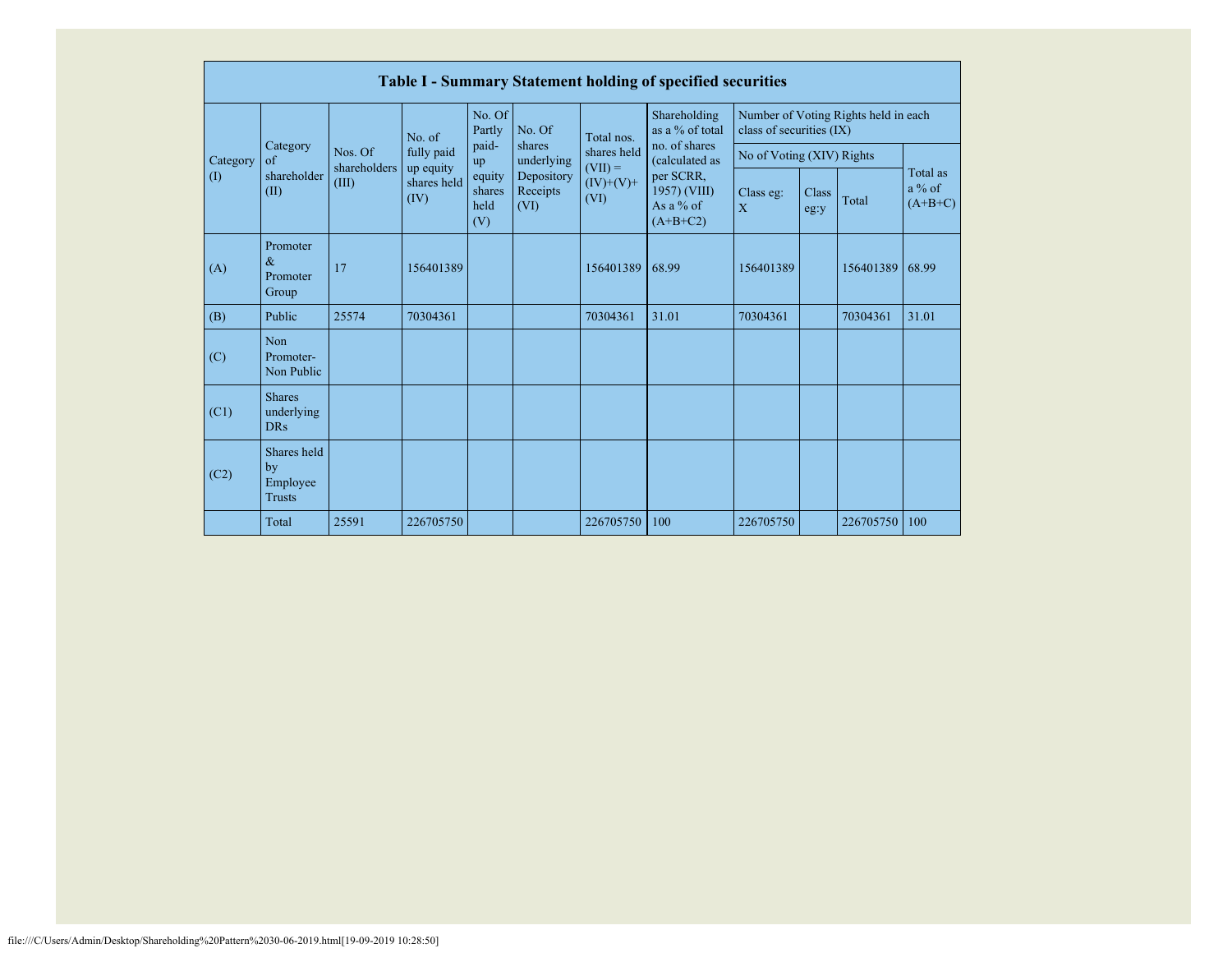|          | Table I - Summary Statement holding of specified securities |                       |                                  |                                 |                                                                                                                                     |                                 |                                                                  |                                      |               |           |                                   |
|----------|-------------------------------------------------------------|-----------------------|----------------------------------|---------------------------------|-------------------------------------------------------------------------------------------------------------------------------------|---------------------------------|------------------------------------------------------------------|--------------------------------------|---------------|-----------|-----------------------------------|
|          |                                                             |                       | No. of                           | No. Of<br>Partly                | No. Of<br>Total nos.<br>shares<br>shares held<br>underlying<br>$=$ (VII) =<br>Depository<br>$(IV)+(V)+$<br>Receipts<br>(VI)<br>(VI) | Shareholding<br>as a % of total | Number of Voting Rights held in each<br>class of securities (IX) |                                      |               |           |                                   |
| Category | Category<br>$\sigma$ f                                      | Nos. Of               | fully paid                       | paid-<br>up                     |                                                                                                                                     |                                 | no. of shares<br>(calculated as                                  | No of Voting (XIV) Rights            |               |           |                                   |
| (1)      | shareholder<br>(II)                                         | shareholders<br>(III) | up equity<br>shares held<br>(IV) | equity<br>shares<br>held<br>(V) |                                                                                                                                     |                                 | per SCRR,<br>1957) (VIII)<br>As a $%$ of<br>$(A+B+C2)$           | Class eg:<br>$\overline{\mathbf{X}}$ | Class<br>eg:y | Total     | Total as<br>$a\%$ of<br>$(A+B+C)$ |
| (A)      | Promoter<br>$\&$<br>Promoter<br>Group                       | 17                    | 156401389                        |                                 |                                                                                                                                     | 156401389                       | 68.99                                                            | 156401389                            |               | 156401389 | 68.99                             |
| (B)      | Public                                                      | 25574                 | 70304361                         |                                 |                                                                                                                                     | 70304361                        | 31.01                                                            | 70304361                             |               | 70304361  | 31.01                             |
| (C)      | Non<br>Promoter-<br>Non Public                              |                       |                                  |                                 |                                                                                                                                     |                                 |                                                                  |                                      |               |           |                                   |
| (C1)     | <b>Shares</b><br>underlying<br><b>DRs</b>                   |                       |                                  |                                 |                                                                                                                                     |                                 |                                                                  |                                      |               |           |                                   |
| (C2)     | Shares held<br>by<br>Employee<br><b>Trusts</b>              |                       |                                  |                                 |                                                                                                                                     |                                 |                                                                  |                                      |               |           |                                   |
|          | Total                                                       | 25591                 | 226705750                        |                                 |                                                                                                                                     | 226705750                       | 100                                                              | 226705750                            |               | 226705750 | 100                               |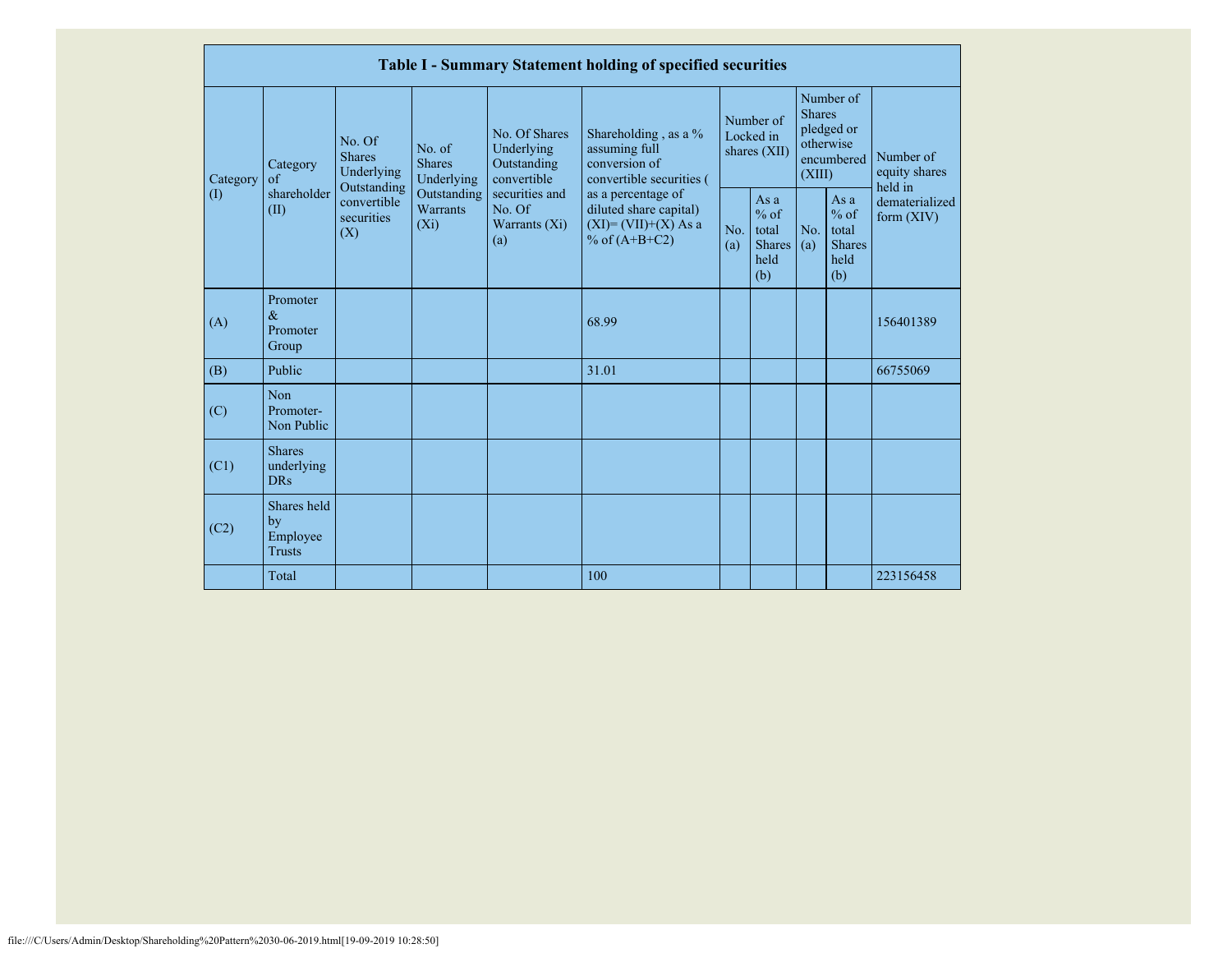|                            | Table I - Summary Statement holding of specified securities |                                                      |                                       |                                                           |                                                                                            |                                        |                                                         |                                                                               |                                                         |                                       |
|----------------------------|-------------------------------------------------------------|------------------------------------------------------|---------------------------------------|-----------------------------------------------------------|--------------------------------------------------------------------------------------------|----------------------------------------|---------------------------------------------------------|-------------------------------------------------------------------------------|---------------------------------------------------------|---------------------------------------|
| Category                   | Category<br>of                                              | No. Of<br><b>Shares</b><br>Underlying<br>Outstanding | No. of<br><b>Shares</b><br>Underlying | No. Of Shares<br>Underlying<br>Outstanding<br>convertible | Shareholding, as a %<br>assuming full<br>conversion of<br>convertible securities (         | Number of<br>Locked in<br>shares (XII) |                                                         | Number of<br><b>Shares</b><br>pledged or<br>otherwise<br>encumbered<br>(XIII) |                                                         | Number of<br>equity shares<br>held in |
| $\left( \mathrm{I}\right)$ | shareholder<br>(II)                                         | convertible<br>securities<br>(X)                     | Outstanding<br>Warrants<br>$(X_i)$    | securities and<br>No. Of<br>Warrants (Xi)<br>(a)          | as a percentage of<br>diluted share capital)<br>$(XI) = (VII)+(X) As a$<br>% of $(A+B+C2)$ | No.<br>(a)                             | As a<br>$%$ of<br>total<br><b>Shares</b><br>held<br>(b) | No.<br>(a)                                                                    | As a<br>$%$ of<br>total<br><b>Shares</b><br>held<br>(b) | dematerialized<br>form $(XIV)$        |
| (A)                        | Promoter<br>$\&$<br>Promoter<br>Group                       |                                                      |                                       |                                                           | 68.99                                                                                      |                                        |                                                         |                                                                               |                                                         | 156401389                             |
| (B)                        | Public                                                      |                                                      |                                       |                                                           | 31.01                                                                                      |                                        |                                                         |                                                                               |                                                         | 66755069                              |
| (C)                        | Non<br>Promoter-<br>Non Public                              |                                                      |                                       |                                                           |                                                                                            |                                        |                                                         |                                                                               |                                                         |                                       |
| (C1)                       | <b>Shares</b><br>underlying<br><b>DRs</b>                   |                                                      |                                       |                                                           |                                                                                            |                                        |                                                         |                                                                               |                                                         |                                       |
| (C2)                       | Shares held<br>by<br>Employee<br><b>Trusts</b>              |                                                      |                                       |                                                           |                                                                                            |                                        |                                                         |                                                                               |                                                         |                                       |
|                            | Total                                                       |                                                      |                                       |                                                           | 100                                                                                        |                                        |                                                         |                                                                               |                                                         | 223156458                             |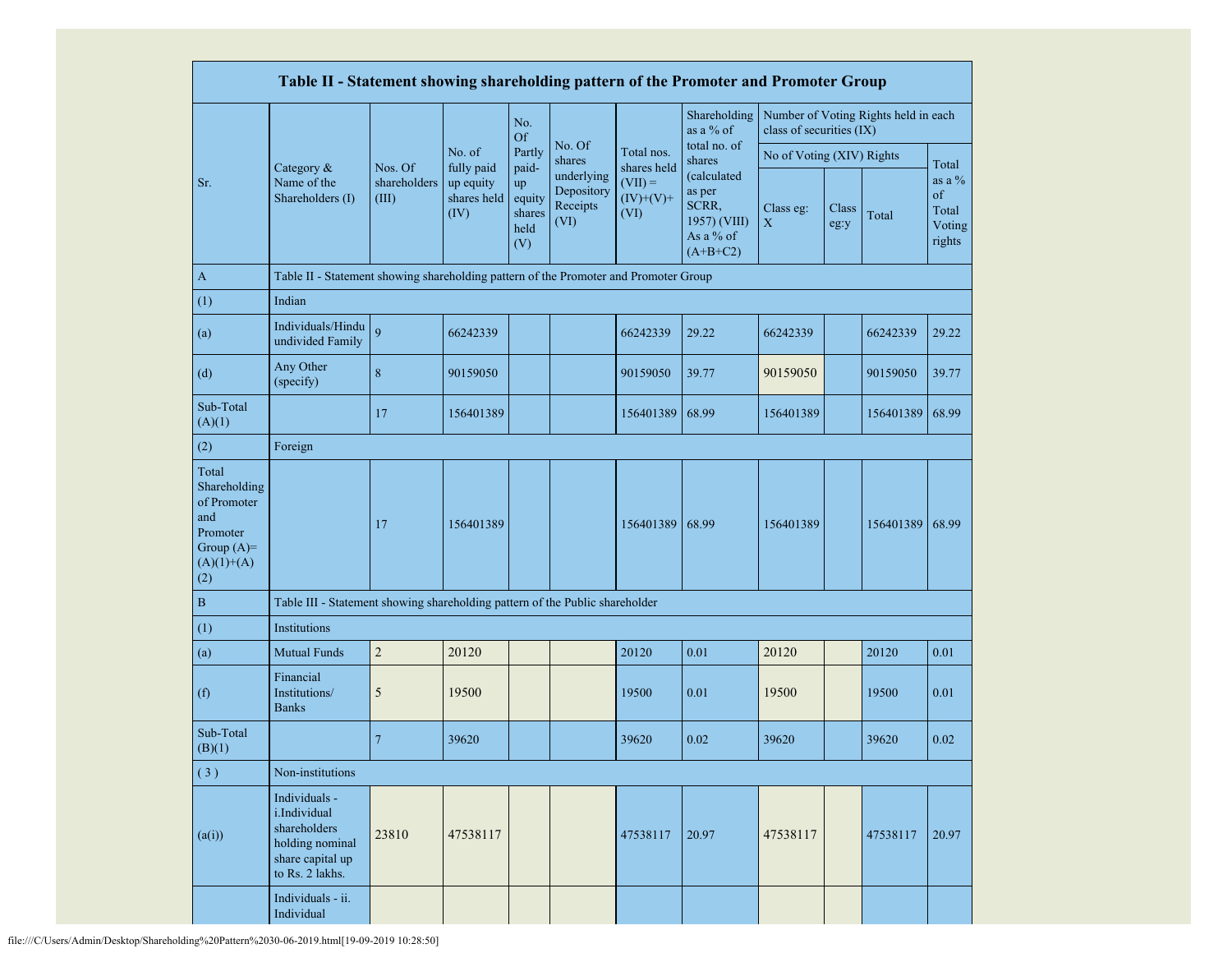|                                                                                                | Table II - Statement showing shareholding pattern of the Promoter and Promoter Group                    |                                  |                                                |                                                |                                              |                                                 |                                                                           |                                                                  |               |           |                                              |
|------------------------------------------------------------------------------------------------|---------------------------------------------------------------------------------------------------------|----------------------------------|------------------------------------------------|------------------------------------------------|----------------------------------------------|-------------------------------------------------|---------------------------------------------------------------------------|------------------------------------------------------------------|---------------|-----------|----------------------------------------------|
|                                                                                                |                                                                                                         |                                  |                                                | No.<br>Of                                      |                                              |                                                 | Shareholding<br>as a % of                                                 | Number of Voting Rights held in each<br>class of securities (IX) |               |           |                                              |
|                                                                                                |                                                                                                         |                                  | No. of                                         | Partly                                         | No. Of<br>shares                             | Total nos.                                      | total no. of<br>shares                                                    | No of Voting (XIV) Rights                                        |               |           | Total                                        |
| Sr.                                                                                            | Category &<br>Name of the<br>Shareholders (I)                                                           | Nos. Of<br>shareholders<br>(III) | fully paid<br>up equity<br>shares held<br>(IV) | paid-<br>up<br>equity<br>shares<br>held<br>(V) | underlying<br>Depository<br>Receipts<br>(VI) | shares held<br>$(VII) =$<br>$(IV)+(V)+$<br>(VI) | (calculated<br>as per<br>SCRR,<br>1957) (VIII)<br>As a % of<br>$(A+B+C2)$ | Class eg:<br>X                                                   | Class<br>eg:y | Total     | as a $\%$<br>of<br>Total<br>Voting<br>rights |
| $\mathbf{A}$                                                                                   | Table II - Statement showing shareholding pattern of the Promoter and Promoter Group                    |                                  |                                                |                                                |                                              |                                                 |                                                                           |                                                                  |               |           |                                              |
| (1)                                                                                            | Indian                                                                                                  |                                  |                                                |                                                |                                              |                                                 |                                                                           |                                                                  |               |           |                                              |
| (a)                                                                                            | Individuals/Hindu<br>undivided Family                                                                   | $\overline{9}$                   | 66242339                                       |                                                |                                              | 66242339                                        | 29.22                                                                     | 66242339                                                         |               | 66242339  | 29.22                                        |
| (d)                                                                                            | Any Other<br>(specify)                                                                                  | 8                                | 90159050                                       |                                                |                                              | 90159050                                        | 39.77                                                                     | 90159050                                                         |               | 90159050  | 39.77                                        |
| Sub-Total<br>(A)(1)                                                                            |                                                                                                         | 17                               | 156401389                                      |                                                |                                              | 156401389                                       | 68.99                                                                     | 156401389                                                        |               | 156401389 | 68.99                                        |
| (2)                                                                                            | Foreign                                                                                                 |                                  |                                                |                                                |                                              |                                                 |                                                                           |                                                                  |               |           |                                              |
| Total<br>Shareholding<br>of Promoter<br>and<br>Promoter<br>Group $(A)=$<br>$(A)(1)+(A)$<br>(2) |                                                                                                         | 17                               | 156401389                                      |                                                |                                              | 156401389                                       | 68.99                                                                     | 156401389                                                        |               | 156401389 | 68.99                                        |
| $\, {\bf B}$                                                                                   | Table III - Statement showing shareholding pattern of the Public shareholder                            |                                  |                                                |                                                |                                              |                                                 |                                                                           |                                                                  |               |           |                                              |
| (1)                                                                                            | Institutions                                                                                            |                                  |                                                |                                                |                                              |                                                 |                                                                           |                                                                  |               |           |                                              |
| (a)                                                                                            | <b>Mutual Funds</b>                                                                                     | $\overline{c}$                   | 20120                                          |                                                |                                              | 20120                                           | 0.01                                                                      | 20120                                                            |               | 20120     | 0.01                                         |
| (f)                                                                                            | Financial<br>Institutions/<br><b>Banks</b>                                                              | 5                                | 19500                                          |                                                |                                              | 19500                                           | 0.01                                                                      | 19500                                                            |               | 19500     | 0.01                                         |
| Sub-Total<br>(B)(1)                                                                            |                                                                                                         | 7                                | 39620                                          |                                                |                                              | 39620                                           | 0.02                                                                      | 39620                                                            |               | 39620     | 0.02                                         |
| (3)                                                                                            | Non-institutions                                                                                        |                                  |                                                |                                                |                                              |                                                 |                                                                           |                                                                  |               |           |                                              |
| (a(i))                                                                                         | Individuals -<br>i.Individual<br>shareholders<br>holding nominal<br>share capital up<br>to Rs. 2 lakhs. | 23810                            | 47538117                                       |                                                |                                              | 47538117                                        | 20.97                                                                     | 47538117                                                         |               | 47538117  | 20.97                                        |
|                                                                                                | Individuals - ii.<br>Individual                                                                         |                                  |                                                |                                                |                                              |                                                 |                                                                           |                                                                  |               |           |                                              |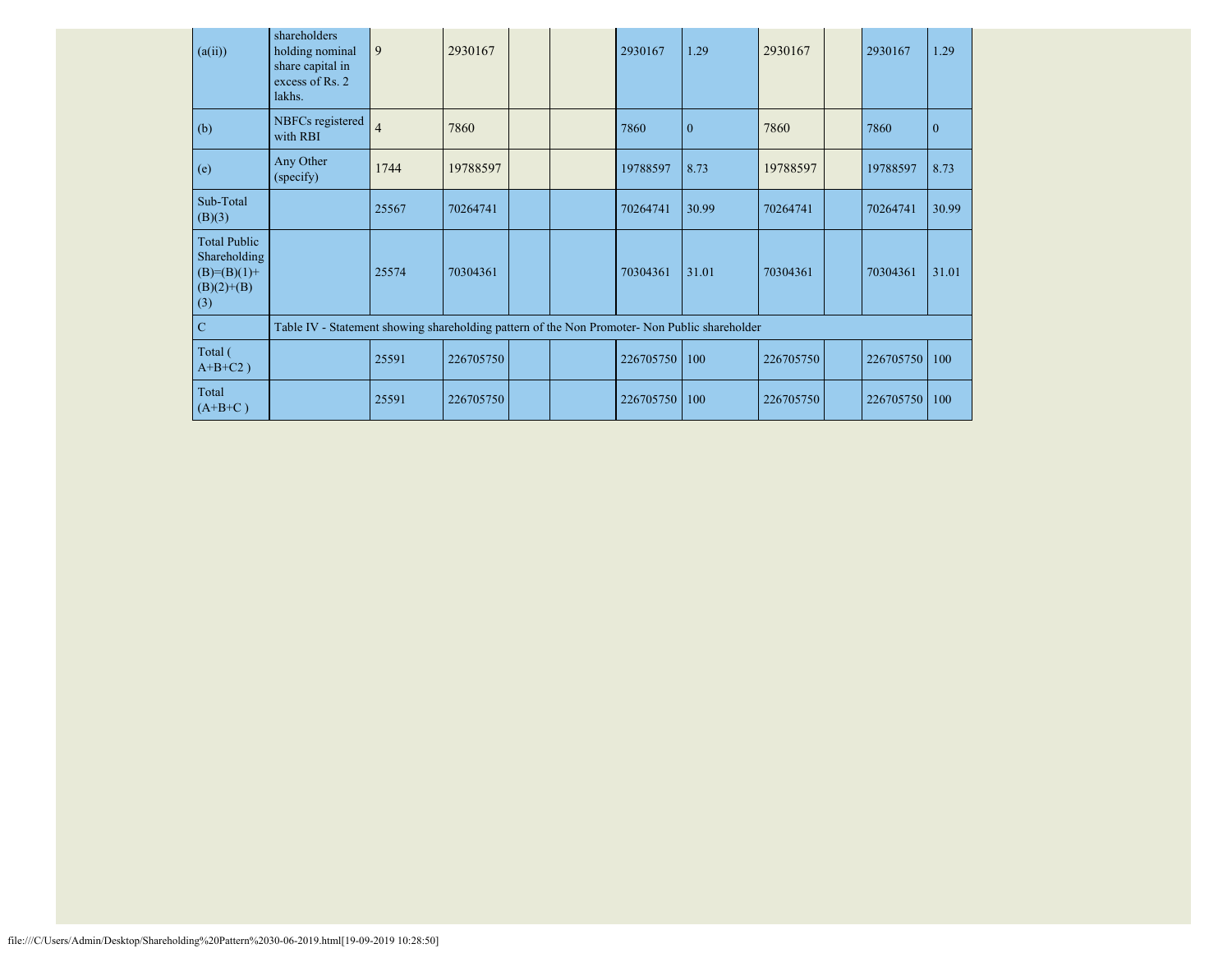| (a(ii))                                                                       | shareholders<br>holding nominal<br>share capital in<br>excess of Rs. 2<br>lakhs.              | $\overline{9}$ | 2930167   |  | 2930167   | 1.29         | 2930167   | 2930167   | 1.29         |
|-------------------------------------------------------------------------------|-----------------------------------------------------------------------------------------------|----------------|-----------|--|-----------|--------------|-----------|-----------|--------------|
| (b)                                                                           | NBFCs registered<br>with RBI                                                                  | $\overline{4}$ | 7860      |  | 7860      | $\mathbf{0}$ | 7860      | 7860      | $\mathbf{0}$ |
| (e)                                                                           | Any Other<br>(specify)                                                                        | 1744           | 19788597  |  | 19788597  | 8.73         | 19788597  | 19788597  | 8.73         |
| Sub-Total<br>(B)(3)                                                           |                                                                                               | 25567          | 70264741  |  | 70264741  | 30.99        | 70264741  | 70264741  | 30.99        |
| <b>Total Public</b><br>Shareholding<br>$(B)= (B)(1) +$<br>$(B)(2)+(B)$<br>(3) |                                                                                               | 25574          | 70304361  |  | 70304361  | 31.01        | 70304361  | 70304361  | 31.01        |
| $\mathbf C$                                                                   | Table IV - Statement showing shareholding pattern of the Non Promoter- Non Public shareholder |                |           |  |           |              |           |           |              |
| Total (<br>$A+B+C2$ )                                                         |                                                                                               | 25591          | 226705750 |  | 226705750 | 100          | 226705750 | 226705750 | 100          |
| Total<br>$(A+B+C)$                                                            |                                                                                               | 25591          | 226705750 |  | 226705750 | 100          | 226705750 | 226705750 | 100          |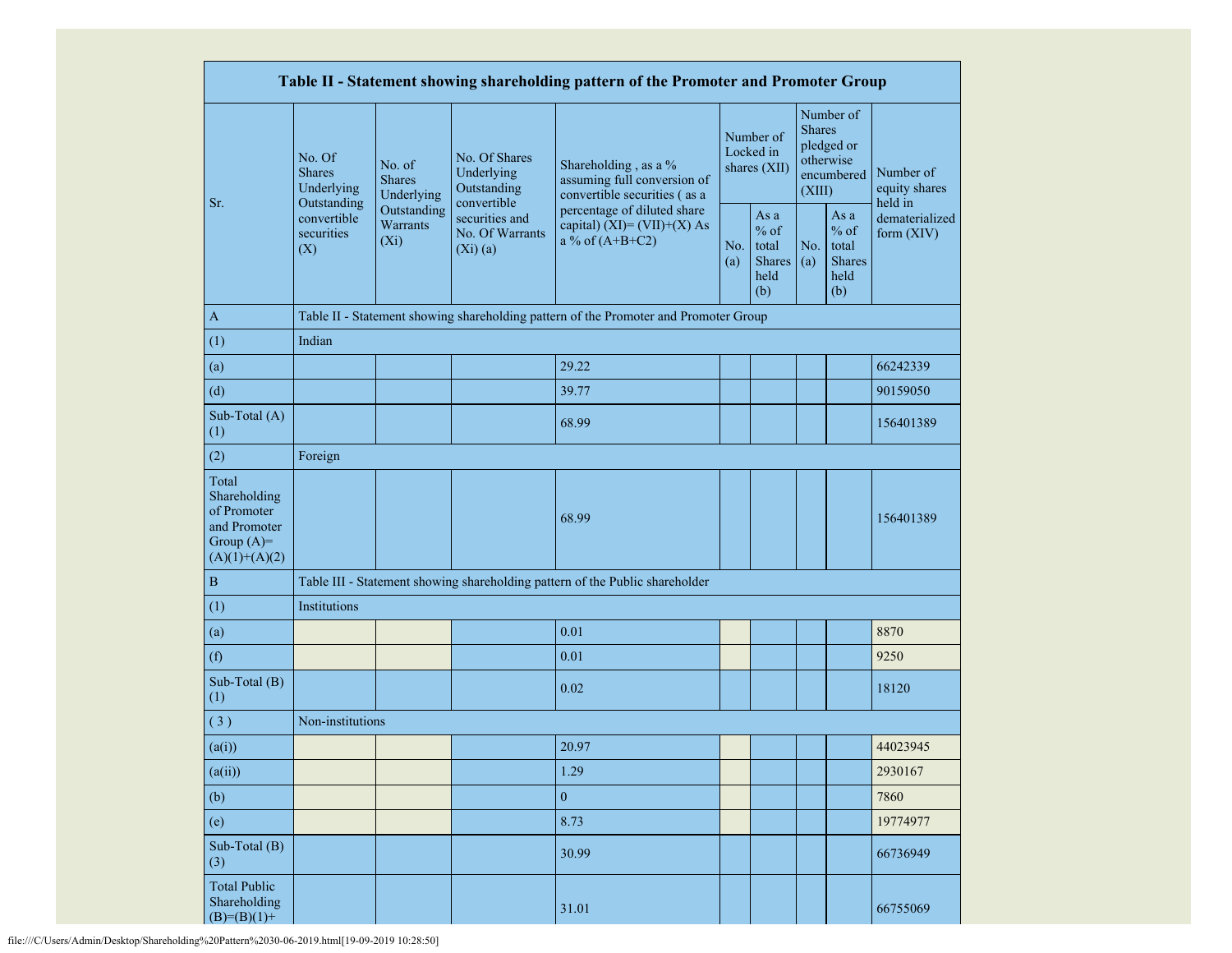| Table II - Statement showing shareholding pattern of the Promoter and Promoter Group    |                                                      |                                       |                                                           |                                                                                      |            |                                                  |                         |                                                         |                                       |
|-----------------------------------------------------------------------------------------|------------------------------------------------------|---------------------------------------|-----------------------------------------------------------|--------------------------------------------------------------------------------------|------------|--------------------------------------------------|-------------------------|---------------------------------------------------------|---------------------------------------|
|                                                                                         | No. Of<br><b>Shares</b><br>Underlying<br>Outstanding | No. of<br><b>Shares</b><br>Underlying | No. Of Shares<br>Underlying<br>Outstanding<br>convertible | Shareholding, as a %<br>assuming full conversion of<br>convertible securities (as a  |            | Number of<br>Locked in<br>shares (XII)           | <b>Shares</b><br>(XIII) | Number of<br>pledged or<br>otherwise<br>encumbered      | Number of<br>equity shares<br>held in |
| Sr.                                                                                     | convertible<br>securities<br>(X)                     | Outstanding<br>Warrants<br>$(X_i)$    | securities and<br>No. Of Warrants<br>(Xi)(a)              | percentage of diluted share<br>capital) (XI)= $(VII)+(X)$ As<br>a % of $(A+B+C2)$    | No.<br>(a) | As a<br>$%$ of<br>total<br>Shares<br>held<br>(b) | No.<br>(a)              | As a<br>$%$ of<br>total<br><b>Shares</b><br>held<br>(b) | dematerialized<br>form (XIV)          |
| $\mathbf{A}$                                                                            |                                                      |                                       |                                                           | Table II - Statement showing shareholding pattern of the Promoter and Promoter Group |            |                                                  |                         |                                                         |                                       |
| (1)                                                                                     | Indian                                               |                                       |                                                           |                                                                                      |            |                                                  |                         |                                                         |                                       |
| (a)                                                                                     |                                                      |                                       |                                                           | 29.22                                                                                |            |                                                  |                         |                                                         | 66242339                              |
| (d)                                                                                     |                                                      |                                       |                                                           | 39.77                                                                                |            |                                                  |                         |                                                         | 90159050                              |
| Sub-Total (A)<br>(1)                                                                    |                                                      |                                       |                                                           | 68.99                                                                                |            |                                                  |                         |                                                         | 156401389                             |
| (2)                                                                                     | Foreign                                              |                                       |                                                           |                                                                                      |            |                                                  |                         |                                                         |                                       |
| Total<br>Shareholding<br>of Promoter<br>and Promoter<br>Group $(A)=$<br>$(A)(1)+(A)(2)$ |                                                      |                                       |                                                           | 68.99                                                                                |            |                                                  |                         |                                                         | 156401389                             |
| $\, {\bf B}$                                                                            |                                                      |                                       |                                                           | Table III - Statement showing shareholding pattern of the Public shareholder         |            |                                                  |                         |                                                         |                                       |
| (1)                                                                                     | Institutions                                         |                                       |                                                           |                                                                                      |            |                                                  |                         |                                                         |                                       |
| (a)                                                                                     |                                                      |                                       |                                                           | 0.01                                                                                 |            |                                                  |                         |                                                         | 8870                                  |
| (f)                                                                                     |                                                      |                                       |                                                           | 0.01                                                                                 |            |                                                  |                         |                                                         | 9250                                  |
| Sub-Total (B)<br>(1)                                                                    |                                                      |                                       |                                                           | 0.02                                                                                 |            |                                                  |                         |                                                         | 18120                                 |
| (3)                                                                                     | Non-institutions                                     |                                       |                                                           |                                                                                      |            |                                                  |                         |                                                         |                                       |
| (a(i))                                                                                  |                                                      |                                       |                                                           | 20.97                                                                                |            |                                                  |                         |                                                         | 44023945                              |
| (a(ii))                                                                                 |                                                      |                                       |                                                           | 1.29                                                                                 |            |                                                  |                         |                                                         | 2930167                               |
| (b)                                                                                     |                                                      |                                       |                                                           | $\overline{0}$                                                                       |            |                                                  |                         |                                                         | 7860                                  |
| (e)                                                                                     |                                                      |                                       |                                                           | 8.73                                                                                 |            |                                                  |                         |                                                         | 19774977                              |
| Sub-Total (B)<br>(3)                                                                    |                                                      |                                       |                                                           | 30.99                                                                                |            |                                                  |                         |                                                         | 66736949                              |
| <b>Total Public</b><br>Shareholding<br>$(B)= (B)(1) +$                                  |                                                      |                                       |                                                           | 31.01                                                                                |            |                                                  |                         |                                                         | 66755069                              |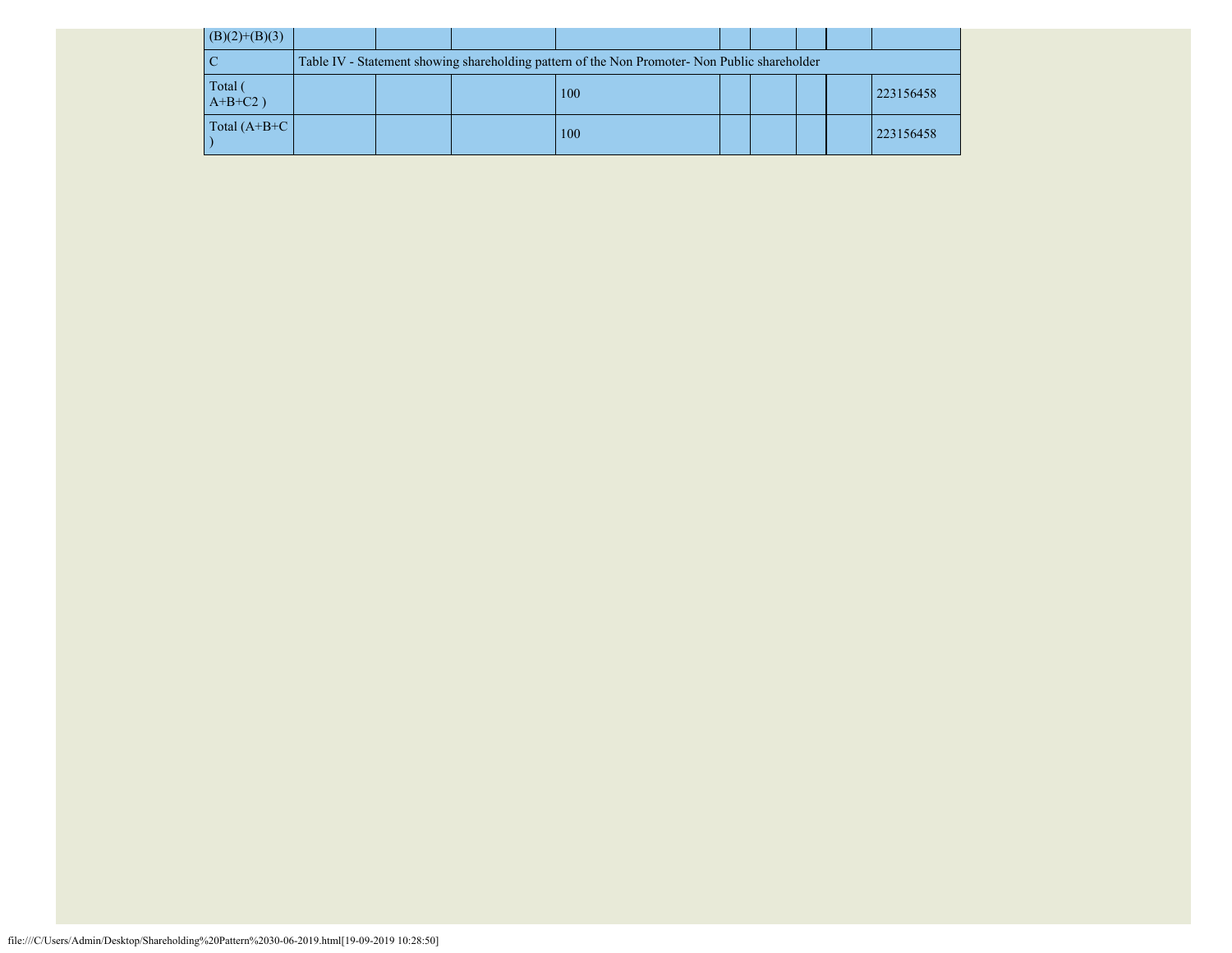| $(B)(2)+(B)(3)$       |  |                                                                                               |  |  |           |
|-----------------------|--|-----------------------------------------------------------------------------------------------|--|--|-----------|
|                       |  | Table IV - Statement showing shareholding pattern of the Non Promoter- Non Public shareholder |  |  |           |
| Total (<br>$A+B+C2$ ) |  | 100                                                                                           |  |  | 223156458 |
| Total $(A+B+C)$       |  | 100                                                                                           |  |  | 223156458 |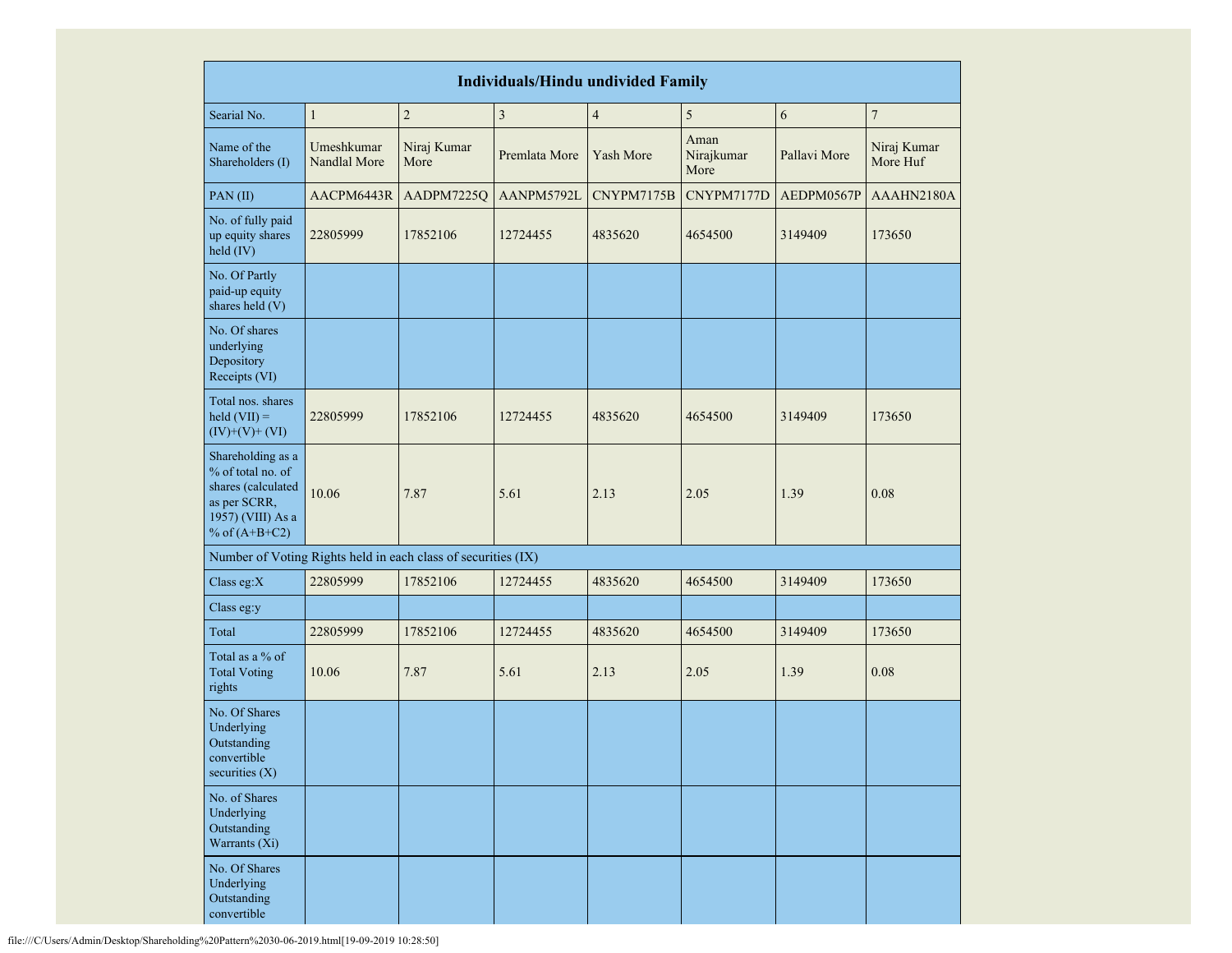| <b>Individuals/Hindu undivided Family</b>                                                                            |                            |                     |                         |                         |                            |              |                         |  |  |
|----------------------------------------------------------------------------------------------------------------------|----------------------------|---------------------|-------------------------|-------------------------|----------------------------|--------------|-------------------------|--|--|
| Searial No.                                                                                                          | $\mathbf{1}$               | $\overline{c}$      | $\overline{\mathbf{3}}$ | $\overline{\mathbf{4}}$ | 5                          | 6            | $\sqrt{ }$              |  |  |
| Name of the<br>Shareholders (I)                                                                                      | Umeshkumar<br>Nandlal More | Niraj Kumar<br>More | Premlata More           | Yash More               | Aman<br>Nirajkumar<br>More | Pallavi More | Niraj Kumar<br>More Huf |  |  |
| PAN(II)                                                                                                              | AACPM6443R                 | AADPM7225Q          | AANPM5792L              | CNYPM7175B              | CNYPM7177D                 | AEDPM0567P   | AAAHN2180A              |  |  |
| No. of fully paid<br>up equity shares<br>held (IV)                                                                   | 22805999                   | 17852106            | 12724455                | 4835620                 | 4654500                    | 3149409      | 173650                  |  |  |
| No. Of Partly<br>paid-up equity<br>shares held (V)                                                                   |                            |                     |                         |                         |                            |              |                         |  |  |
| No. Of shares<br>underlying<br>Depository<br>Receipts (VI)                                                           |                            |                     |                         |                         |                            |              |                         |  |  |
| Total nos. shares<br>$\text{held (VII)} =$<br>$(IV)+(V)+(VI)$                                                        | 22805999                   | 17852106            | 12724455                | 4835620                 | 4654500                    | 3149409      | 173650                  |  |  |
| Shareholding as a<br>% of total no. of<br>shares (calculated<br>as per SCRR,<br>1957) (VIII) As a<br>% of $(A+B+C2)$ | 10.06                      | 7.87                | 5.61                    | 2.13                    | 2.05                       | 1.39         | 0.08                    |  |  |
| Number of Voting Rights held in each class of securities (IX)                                                        |                            |                     |                         |                         |                            |              |                         |  |  |
| Class eg: $X$                                                                                                        | 22805999                   | 17852106            | 12724455                | 4835620                 | 4654500                    | 3149409      | 173650                  |  |  |
| Class eg:y                                                                                                           |                            |                     |                         |                         |                            |              |                         |  |  |
| Total                                                                                                                | 22805999                   | 17852106            | 12724455                | 4835620                 | 4654500                    | 3149409      | 173650                  |  |  |
| Total as a % of<br><b>Total Voting</b><br>rights                                                                     | 10.06                      | 7.87                | 5.61                    | 2.13                    | 2.05                       | 1.39         | 0.08                    |  |  |
| No. Of Shares<br>Underlying<br>Outstanding<br>convertible<br>securities $(X)$                                        |                            |                     |                         |                         |                            |              |                         |  |  |
| No. of Shares<br>Underlying<br>Outstanding<br>Warrants (Xi)                                                          |                            |                     |                         |                         |                            |              |                         |  |  |
| No. Of Shares<br>Underlying<br>Outstanding<br>convertible                                                            |                            |                     |                         |                         |                            |              |                         |  |  |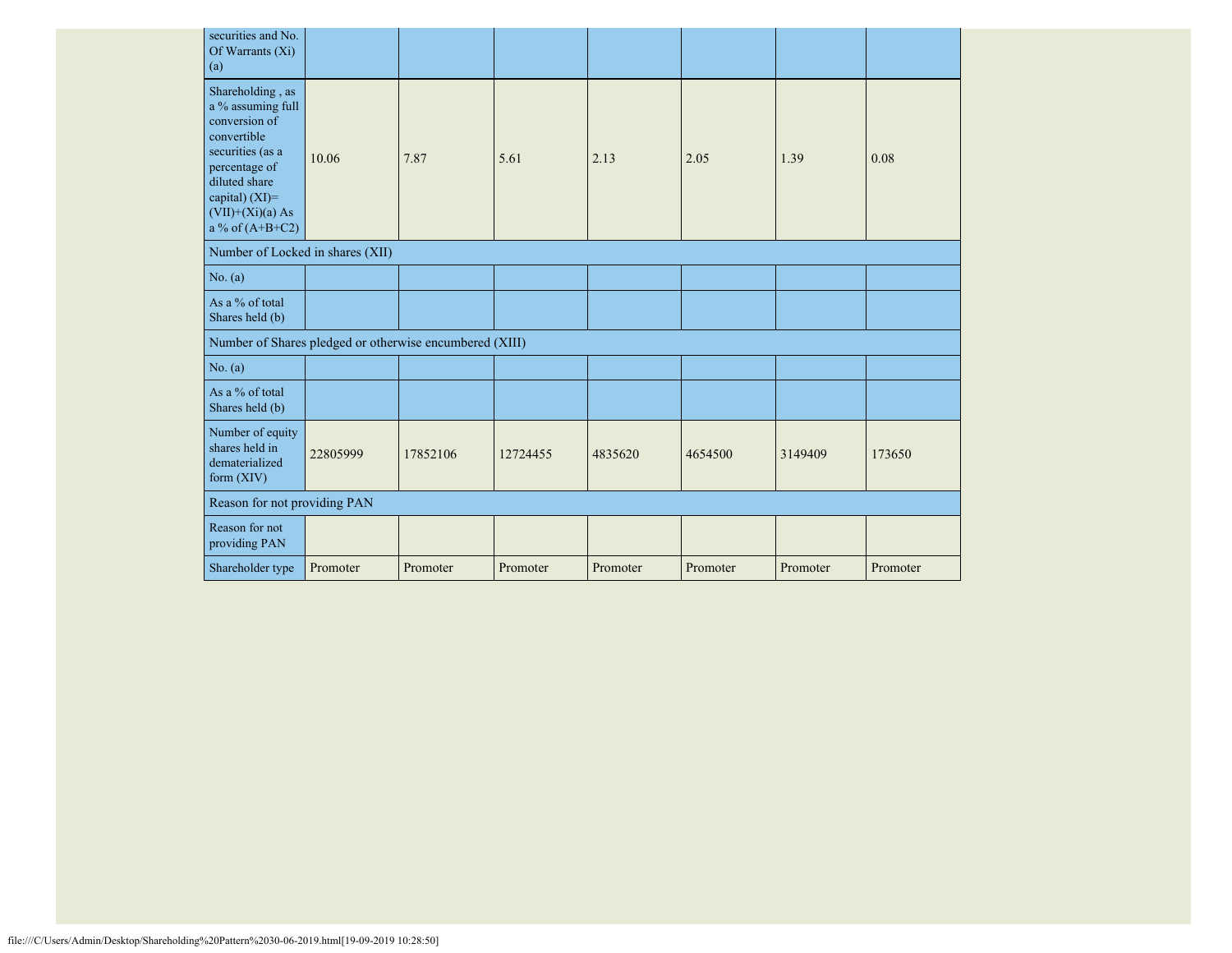| securities and No.<br>Of Warrants (Xi)<br>(a)                                                                                                                                            |          |          |          |          |          |          |          |
|------------------------------------------------------------------------------------------------------------------------------------------------------------------------------------------|----------|----------|----------|----------|----------|----------|----------|
| Shareholding, as<br>a % assuming full<br>conversion of<br>convertible<br>securities (as a<br>percentage of<br>diluted share<br>capital) (XI)=<br>$(VII)+(Xi)(a) As$<br>a % of $(A+B+C2)$ | 10.06    | 7.87     | 5.61     | 2.13     | 2.05     | 1.39     | 0.08     |
| Number of Locked in shares (XII)                                                                                                                                                         |          |          |          |          |          |          |          |
| No. (a)                                                                                                                                                                                  |          |          |          |          |          |          |          |
| As a % of total<br>Shares held (b)                                                                                                                                                       |          |          |          |          |          |          |          |
| Number of Shares pledged or otherwise encumbered (XIII)                                                                                                                                  |          |          |          |          |          |          |          |
| No. (a)                                                                                                                                                                                  |          |          |          |          |          |          |          |
| As a % of total<br>Shares held (b)                                                                                                                                                       |          |          |          |          |          |          |          |
| Number of equity<br>shares held in<br>dematerialized<br>form (XIV)                                                                                                                       | 22805999 | 17852106 | 12724455 | 4835620  | 4654500  | 3149409  | 173650   |
| Reason for not providing PAN                                                                                                                                                             |          |          |          |          |          |          |          |
| Reason for not<br>providing PAN                                                                                                                                                          |          |          |          |          |          |          |          |
| Shareholder type                                                                                                                                                                         | Promoter | Promoter | Promoter | Promoter | Promoter | Promoter | Promoter |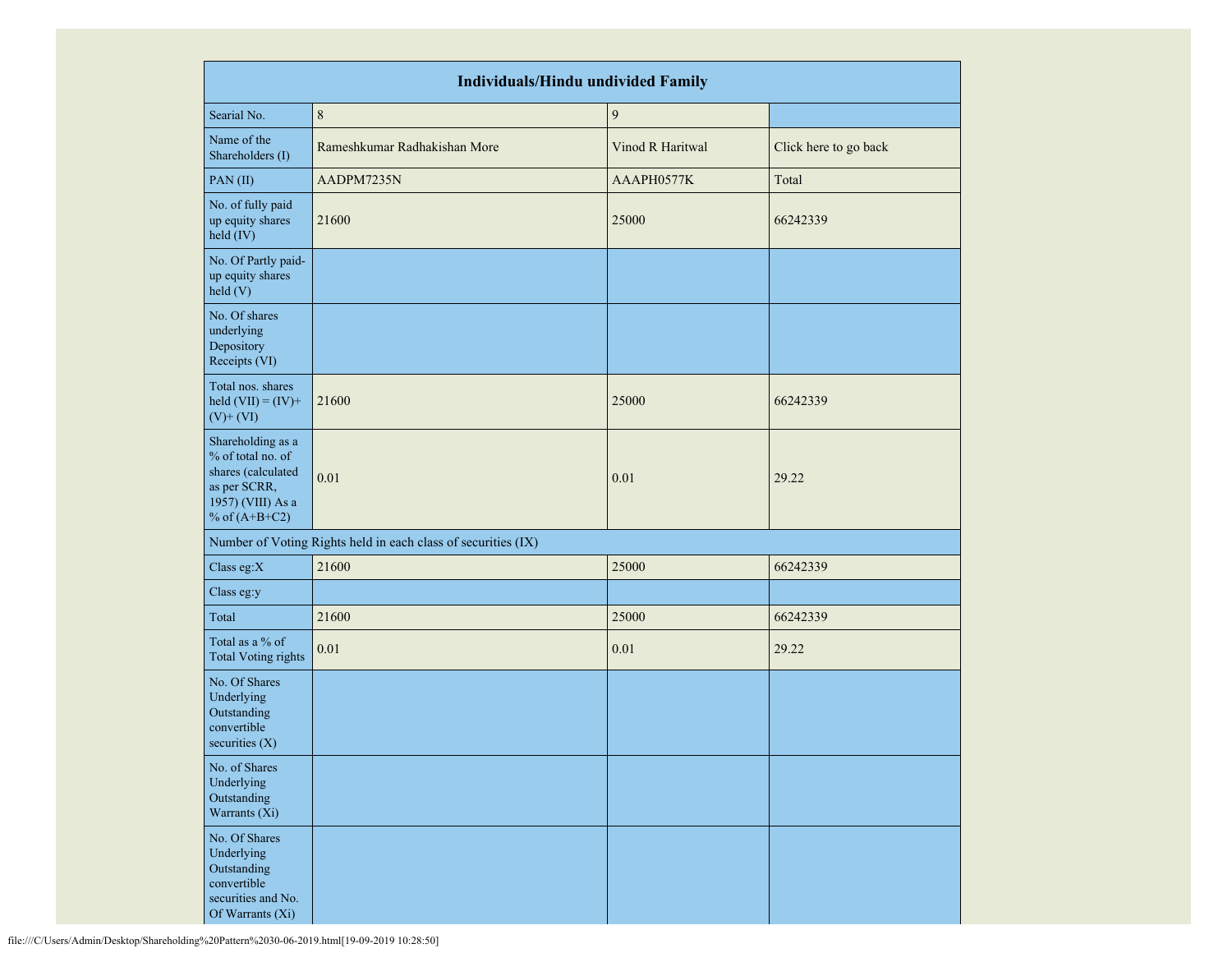| <b>Individuals/Hindu undivided Family</b>                                                                            |                                                               |                  |                       |  |  |  |  |  |  |  |
|----------------------------------------------------------------------------------------------------------------------|---------------------------------------------------------------|------------------|-----------------------|--|--|--|--|--|--|--|
| Searial No.                                                                                                          | $\,8\,$                                                       | $\boldsymbol{9}$ |                       |  |  |  |  |  |  |  |
| Name of the<br>Shareholders (I)                                                                                      | Rameshkumar Radhakishan More                                  | Vinod R Haritwal | Click here to go back |  |  |  |  |  |  |  |
| PAN(II)                                                                                                              | AADPM7235N                                                    | AAAPH0577K       | Total                 |  |  |  |  |  |  |  |
| No. of fully paid<br>up equity shares<br>held (IV)                                                                   | 21600                                                         | 25000            | 66242339              |  |  |  |  |  |  |  |
| No. Of Partly paid-<br>up equity shares<br>held (V)                                                                  |                                                               |                  |                       |  |  |  |  |  |  |  |
| No. Of shares<br>underlying<br>Depository<br>Receipts (VI)                                                           |                                                               |                  |                       |  |  |  |  |  |  |  |
| Total nos. shares<br>held $(VII) = (IV) +$<br>$(V)$ + $(VI)$                                                         | 21600                                                         | 25000            | 66242339              |  |  |  |  |  |  |  |
| Shareholding as a<br>% of total no. of<br>shares (calculated<br>as per SCRR,<br>1957) (VIII) As a<br>% of $(A+B+C2)$ | 0.01                                                          | 0.01             | 29.22                 |  |  |  |  |  |  |  |
|                                                                                                                      | Number of Voting Rights held in each class of securities (IX) |                  |                       |  |  |  |  |  |  |  |
| Class eg:X                                                                                                           | 21600                                                         | 25000            | 66242339              |  |  |  |  |  |  |  |
| Class eg:y                                                                                                           |                                                               |                  |                       |  |  |  |  |  |  |  |
| Total                                                                                                                | 21600                                                         | 25000            | 66242339              |  |  |  |  |  |  |  |
| Total as a % of<br><b>Total Voting rights</b>                                                                        | 0.01                                                          | 0.01             | 29.22                 |  |  |  |  |  |  |  |
| No. Of Shares<br>Underlying<br>Outstanding<br>convertible<br>securities $(X)$                                        |                                                               |                  |                       |  |  |  |  |  |  |  |
| No. of Shares<br>Underlying<br>Outstanding<br>Warrants (Xi)                                                          |                                                               |                  |                       |  |  |  |  |  |  |  |
| No. Of Shares<br>Underlying<br>Outstanding<br>convertible<br>securities and No.<br>Of Warrants (Xi)                  |                                                               |                  |                       |  |  |  |  |  |  |  |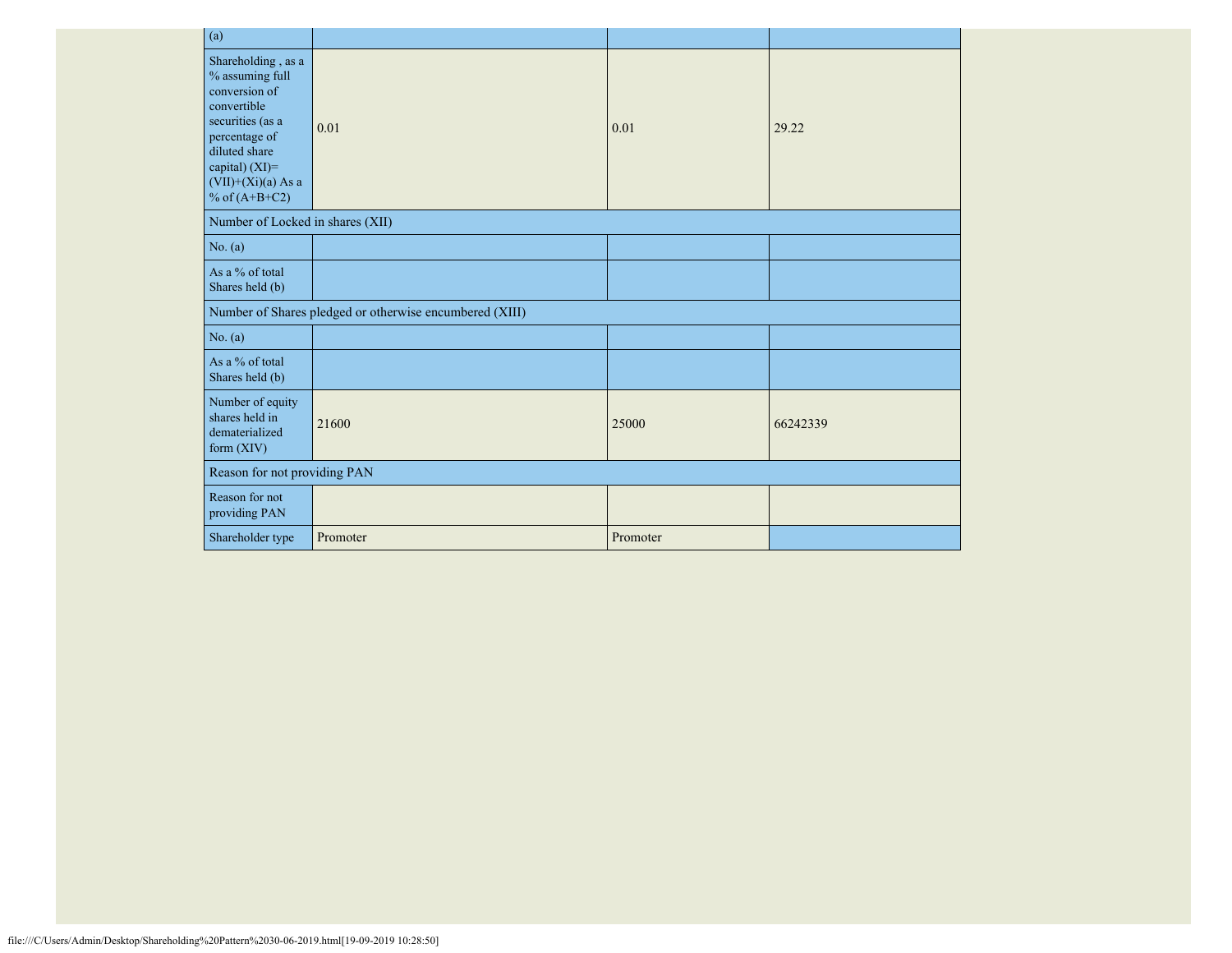| (a)                                                                                                                                                                                           |                                                         |          |          |
|-----------------------------------------------------------------------------------------------------------------------------------------------------------------------------------------------|---------------------------------------------------------|----------|----------|
| Shareholding, as a<br>$\%$ assuming full<br>conversion of<br>convertible<br>securities (as a<br>percentage of<br>diluted share<br>capital) $(XI)=$<br>$(VII)+(Xi)(a)$ As a<br>% of $(A+B+C2)$ | 0.01                                                    | 0.01     | 29.22    |
| Number of Locked in shares (XII)                                                                                                                                                              |                                                         |          |          |
| No. (a)                                                                                                                                                                                       |                                                         |          |          |
| As a % of total<br>Shares held (b)                                                                                                                                                            |                                                         |          |          |
|                                                                                                                                                                                               | Number of Shares pledged or otherwise encumbered (XIII) |          |          |
| No. (a)                                                                                                                                                                                       |                                                         |          |          |
| As a % of total<br>Shares held (b)                                                                                                                                                            |                                                         |          |          |
| Number of equity<br>shares held in<br>dematerialized<br>form $(XIV)$                                                                                                                          | 21600                                                   | 25000    | 66242339 |
| Reason for not providing PAN                                                                                                                                                                  |                                                         |          |          |
| Reason for not<br>providing PAN                                                                                                                                                               |                                                         |          |          |
| Shareholder type                                                                                                                                                                              | Promoter                                                | Promoter |          |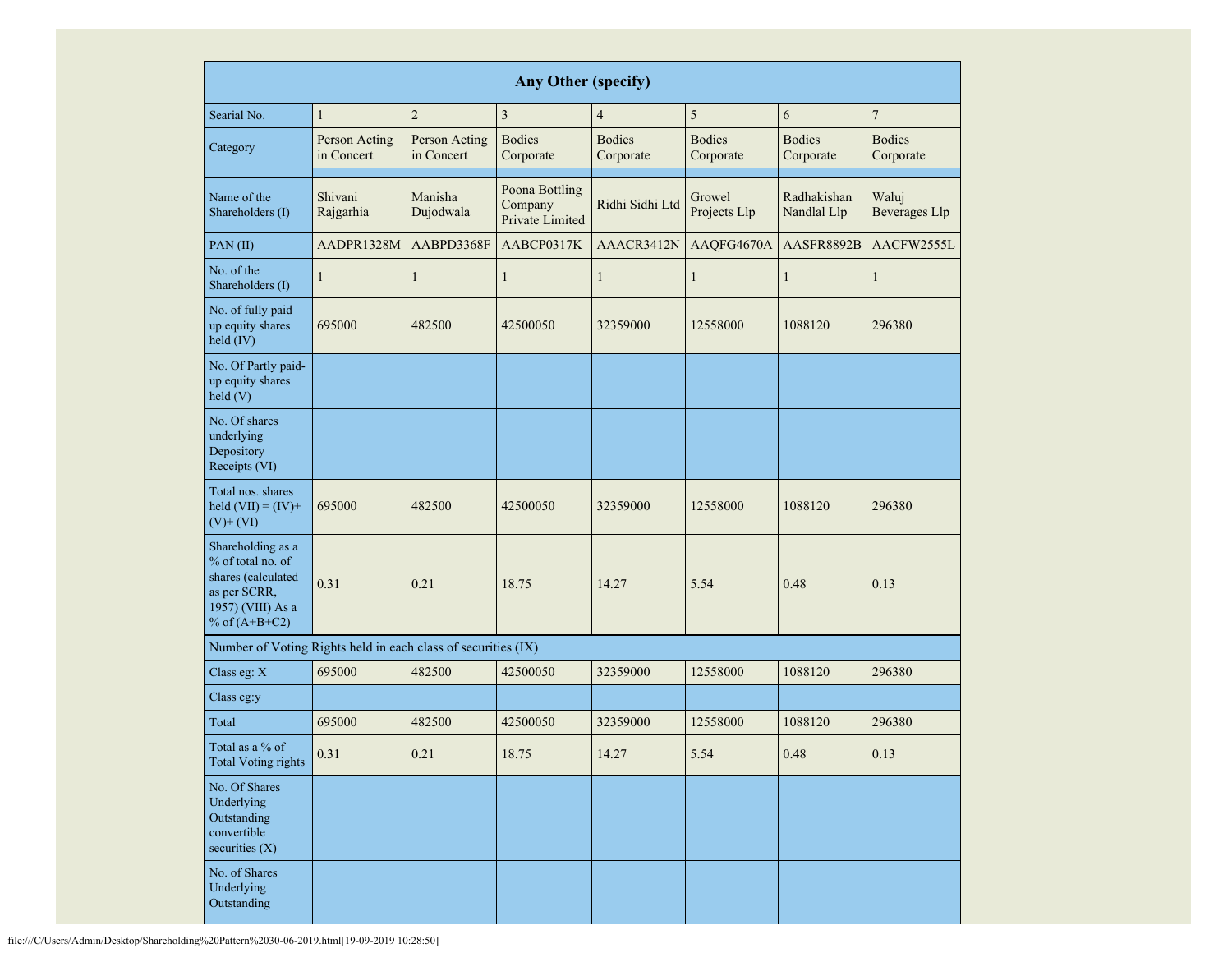|                                                                                                                      | <b>Any Other (specify)</b>       |                             |                                              |                                           |                            |                            |                               |  |  |  |  |  |
|----------------------------------------------------------------------------------------------------------------------|----------------------------------|-----------------------------|----------------------------------------------|-------------------------------------------|----------------------------|----------------------------|-------------------------------|--|--|--|--|--|
| Searial No.                                                                                                          | $\mathbf{1}$                     | $\overline{2}$              | $\overline{3}$                               | $\overline{4}$                            | 5                          | 6                          | $\overline{7}$                |  |  |  |  |  |
| Category                                                                                                             | Person Acting<br>in Concert      | Person Acting<br>in Concert | <b>Bodies</b><br>Corporate                   | <b>Bodies</b><br>Corporate                | <b>Bodies</b><br>Corporate | <b>Bodies</b><br>Corporate | <b>Bodies</b><br>Corporate    |  |  |  |  |  |
| Name of the<br>Shareholders (I)                                                                                      | Shivani<br>Rajgarhia             | Manisha<br>Dujodwala        | Poona Bottling<br>Company<br>Private Limited | Growel<br>Ridhi Sidhi Ltd<br>Projects Llp |                            | Radhakishan<br>Nandlal Llp | Waluj<br><b>Beverages Llp</b> |  |  |  |  |  |
| PAN(II)                                                                                                              | AADPR1328M                       | AABPD3368F                  | AABCP0317K                                   | AAACR3412N                                | AAQFG4670A                 | AASFR8892B                 | AACFW2555L                    |  |  |  |  |  |
| No. of the<br>Shareholders (I)                                                                                       | 1                                | 1                           | $\mathbf{1}$                                 | $\mathbf{1}$                              | 1                          | $\mathbf{1}$               | $\mathbf{1}$                  |  |  |  |  |  |
| No. of fully paid<br>up equity shares<br>held (IV)                                                                   | 695000                           | 482500                      | 42500050                                     | 32359000                                  | 12558000                   | 1088120                    | 296380                        |  |  |  |  |  |
| No. Of Partly paid-<br>up equity shares<br>held(V)                                                                   | 695000<br>482500<br>0.31<br>0.21 |                             |                                              |                                           |                            |                            |                               |  |  |  |  |  |
| No. Of shares<br>underlying<br>Depository<br>Receipts (VI)                                                           |                                  |                             |                                              |                                           |                            |                            |                               |  |  |  |  |  |
| Total nos. shares<br>held $(VII) = (IV) +$<br>$(V)$ + $(VI)$                                                         |                                  |                             | 42500050                                     | 32359000                                  | 12558000                   | 1088120                    | 296380                        |  |  |  |  |  |
| Shareholding as a<br>% of total no. of<br>shares (calculated<br>as per SCRR,<br>1957) (VIII) As a<br>% of $(A+B+C2)$ |                                  |                             | 18.75                                        | 14.27                                     | 5.54                       | 0.48                       | 0.13                          |  |  |  |  |  |
| Number of Voting Rights held in each class of securities (IX)                                                        |                                  |                             |                                              |                                           |                            |                            |                               |  |  |  |  |  |
| Class eg: X                                                                                                          | 695000                           | 482500                      | 42500050                                     | 32359000                                  | 12558000                   | 1088120                    | 296380                        |  |  |  |  |  |
| Class eg:y                                                                                                           |                                  |                             |                                              |                                           |                            |                            |                               |  |  |  |  |  |
| Total                                                                                                                | 695000                           | 482500                      | 42500050                                     | 32359000                                  | 12558000                   | 1088120                    | 296380                        |  |  |  |  |  |
| Total as a % of<br><b>Total Voting rights</b>                                                                        | 0.31                             | 0.21                        | 18.75                                        | 14.27                                     | 5.54                       | 0.48                       | 0.13                          |  |  |  |  |  |
| No. Of Shares<br>Underlying<br>Outstanding<br>convertible<br>securities (X)                                          |                                  |                             |                                              |                                           |                            |                            |                               |  |  |  |  |  |
| No. of Shares<br>Underlying<br>Outstanding                                                                           |                                  |                             |                                              |                                           |                            |                            |                               |  |  |  |  |  |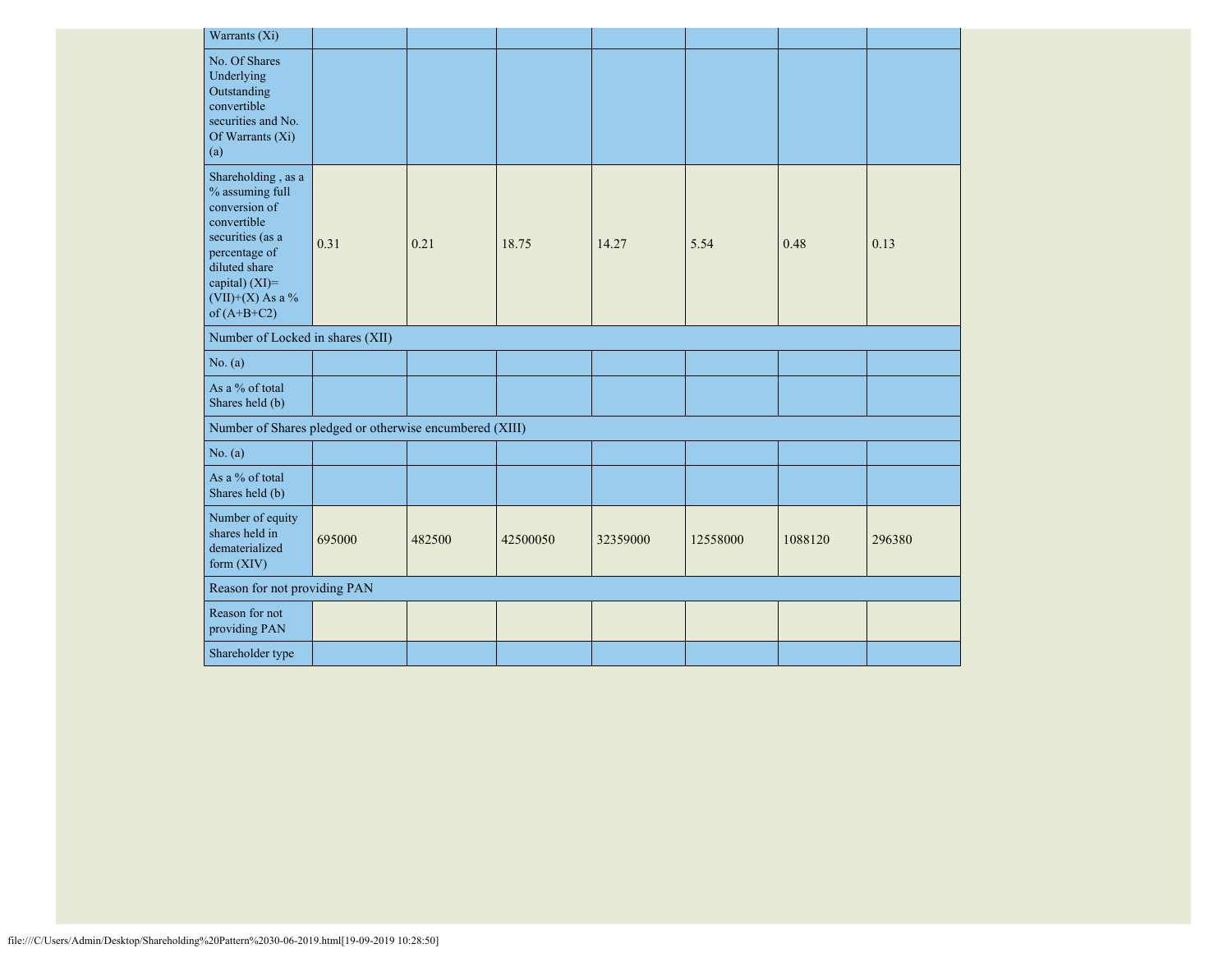| Warrants (Xi)                                                                                                                                                                        |        |        |          |          |          |         |        |
|--------------------------------------------------------------------------------------------------------------------------------------------------------------------------------------|--------|--------|----------|----------|----------|---------|--------|
| No. Of Shares<br>Underlying<br>Outstanding<br>convertible<br>securities and No.<br>Of Warrants (Xi)<br>(a)                                                                           |        |        |          |          |          |         |        |
| Shareholding, as a<br>% assuming full<br>conversion of<br>convertible<br>securities (as a<br>percentage of<br>diluted share<br>capital) (XI)=<br>$(VII)+(X)$ As a %<br>of $(A+B+C2)$ | 0.31   | 0.21   | 18.75    | 14.27    | 5.54     | 0.48    | 0.13   |
| Number of Locked in shares (XII)                                                                                                                                                     |        |        |          |          |          |         |        |
| No. (a)                                                                                                                                                                              |        |        |          |          |          |         |        |
| As a % of total<br>Shares held (b)                                                                                                                                                   |        |        |          |          |          |         |        |
| Number of Shares pledged or otherwise encumbered (XIII)                                                                                                                              |        |        |          |          |          |         |        |
| No. (a)                                                                                                                                                                              |        |        |          |          |          |         |        |
| As a % of total<br>Shares held (b)                                                                                                                                                   |        |        |          |          |          |         |        |
| Number of equity<br>shares held in<br>dematerialized<br>form $(XIV)$                                                                                                                 | 695000 | 482500 | 42500050 | 32359000 | 12558000 | 1088120 | 296380 |
| Reason for not providing PAN                                                                                                                                                         |        |        |          |          |          |         |        |
| Reason for not<br>providing PAN                                                                                                                                                      |        |        |          |          |          |         |        |
| Shareholder type                                                                                                                                                                     |        |        |          |          |          |         |        |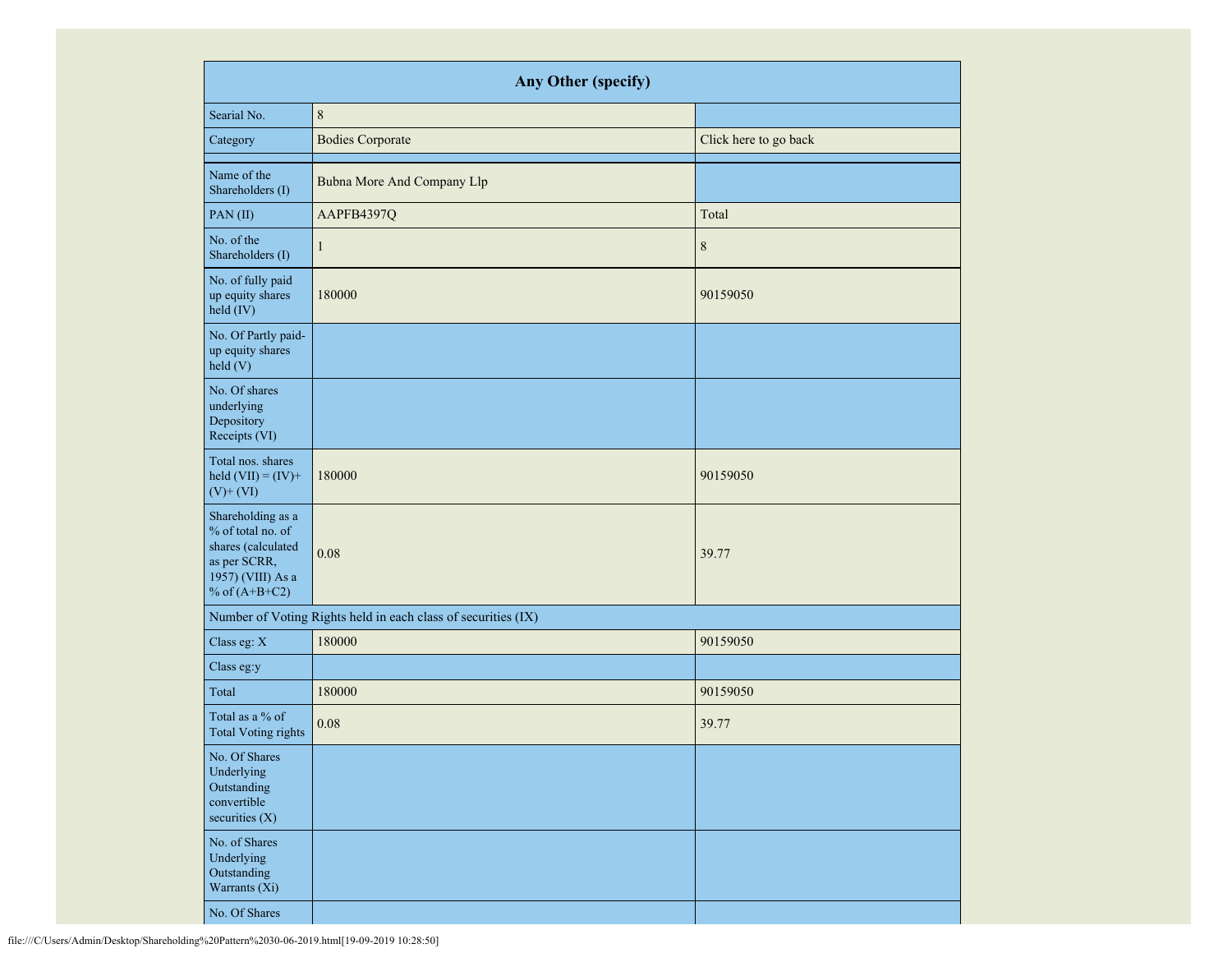| <b>Any Other (specify)</b>                                                                                           |                                                               |                       |  |  |  |  |  |  |  |  |
|----------------------------------------------------------------------------------------------------------------------|---------------------------------------------------------------|-----------------------|--|--|--|--|--|--|--|--|
| Searial No.                                                                                                          | $\,$ 8 $\,$                                                   |                       |  |  |  |  |  |  |  |  |
| Category                                                                                                             | <b>Bodies Corporate</b>                                       | Click here to go back |  |  |  |  |  |  |  |  |
| Name of the<br>Shareholders (I)                                                                                      | <b>Bubna More And Company Llp</b>                             |                       |  |  |  |  |  |  |  |  |
| PAN(II)                                                                                                              | AAPFB4397Q                                                    | Total                 |  |  |  |  |  |  |  |  |
| No. of the<br>Shareholders (I)                                                                                       | $\mathbf{1}$                                                  | $\,$ $\,$             |  |  |  |  |  |  |  |  |
| No. of fully paid<br>up equity shares<br>held (IV)                                                                   | 180000                                                        | 90159050              |  |  |  |  |  |  |  |  |
| No. Of Partly paid-<br>up equity shares<br>held (V)                                                                  |                                                               |                       |  |  |  |  |  |  |  |  |
| No. Of shares<br>underlying<br>Depository<br>Receipts (VI)                                                           |                                                               |                       |  |  |  |  |  |  |  |  |
| Total nos. shares<br>held $(VII) = (IV) +$<br>$(V)$ + $(VI)$                                                         | 180000                                                        | 90159050              |  |  |  |  |  |  |  |  |
| Shareholding as a<br>% of total no. of<br>shares (calculated<br>as per SCRR,<br>1957) (VIII) As a<br>% of $(A+B+C2)$ | 0.08                                                          | 39.77                 |  |  |  |  |  |  |  |  |
|                                                                                                                      | Number of Voting Rights held in each class of securities (IX) |                       |  |  |  |  |  |  |  |  |
| Class eg: X                                                                                                          | 180000                                                        | 90159050              |  |  |  |  |  |  |  |  |
| Class eg:y                                                                                                           |                                                               |                       |  |  |  |  |  |  |  |  |
| Total                                                                                                                | 180000                                                        | 90159050              |  |  |  |  |  |  |  |  |
| Total as a % of<br><b>Total Voting rights</b>                                                                        | 0.08                                                          | 39.77                 |  |  |  |  |  |  |  |  |
| No. Of Shares<br>Underlying<br>Outstanding<br>convertible<br>securities (X)                                          |                                                               |                       |  |  |  |  |  |  |  |  |
| No. of Shares<br>Underlying<br>Outstanding<br>Warrants (Xi)                                                          |                                                               |                       |  |  |  |  |  |  |  |  |
| No. Of Shares                                                                                                        |                                                               |                       |  |  |  |  |  |  |  |  |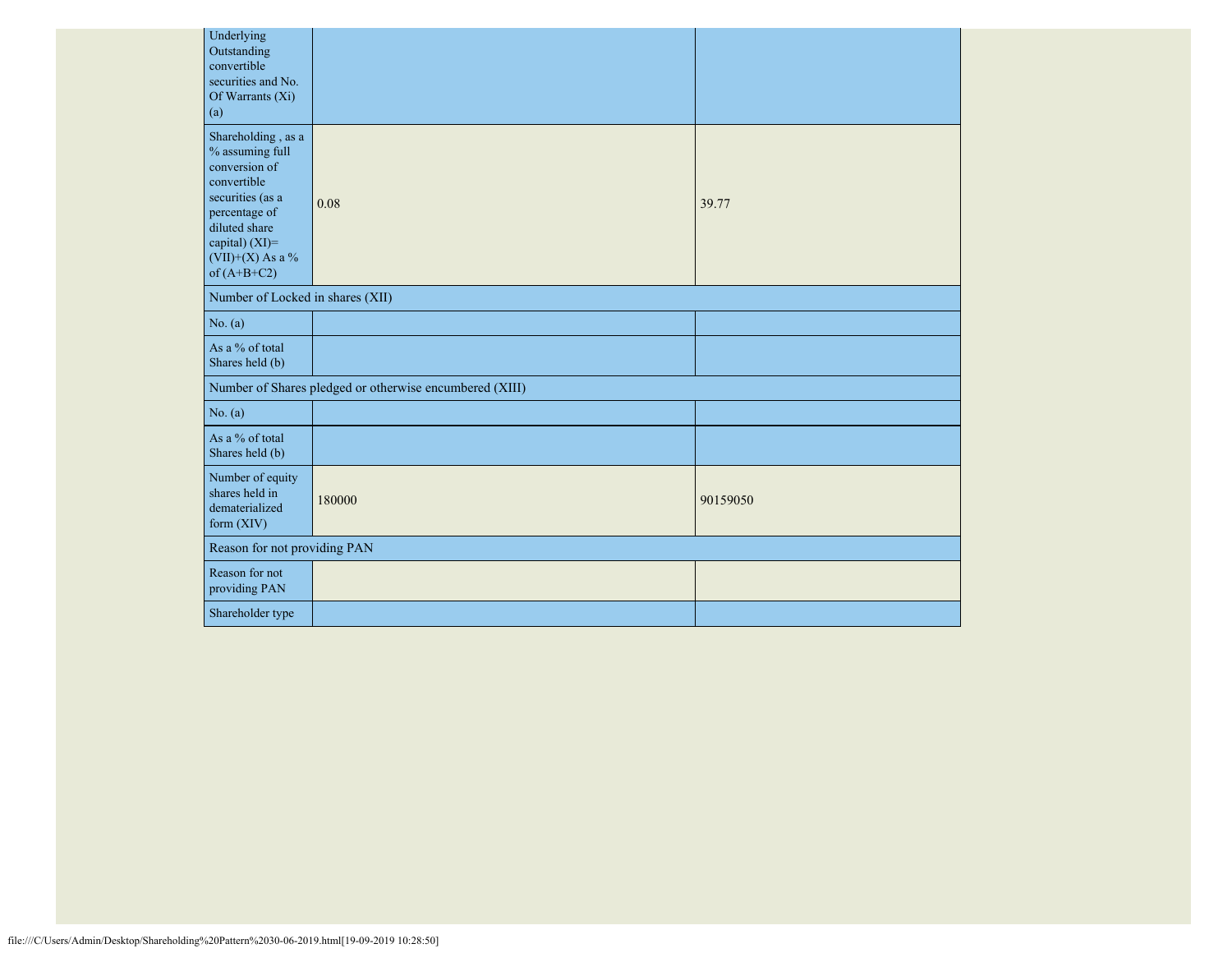| Underlying<br>Outstanding<br>convertible<br>securities and No.<br>Of Warrants (Xi)<br>(a)                                                                                               |                                                         |          |  |  |  |  |  |  |  |  |
|-----------------------------------------------------------------------------------------------------------------------------------------------------------------------------------------|---------------------------------------------------------|----------|--|--|--|--|--|--|--|--|
| Shareholding, as a<br>$\%$ assuming full<br>conversion of<br>convertible<br>securities (as a<br>percentage of<br>diluted share<br>capital) (XI)=<br>$(VII)+(X)$ As a %<br>of $(A+B+C2)$ | 0.08                                                    | 39.77    |  |  |  |  |  |  |  |  |
| Number of Locked in shares (XII)                                                                                                                                                        |                                                         |          |  |  |  |  |  |  |  |  |
| No. (a)                                                                                                                                                                                 |                                                         |          |  |  |  |  |  |  |  |  |
| As a % of total<br>Shares held (b)                                                                                                                                                      |                                                         |          |  |  |  |  |  |  |  |  |
|                                                                                                                                                                                         | Number of Shares pledged or otherwise encumbered (XIII) |          |  |  |  |  |  |  |  |  |
| No. (a)                                                                                                                                                                                 |                                                         |          |  |  |  |  |  |  |  |  |
| As a % of total<br>Shares held (b)                                                                                                                                                      |                                                         |          |  |  |  |  |  |  |  |  |
| Number of equity<br>shares held in<br>dematerialized<br>form (XIV)                                                                                                                      | 180000                                                  | 90159050 |  |  |  |  |  |  |  |  |
|                                                                                                                                                                                         | Reason for not providing PAN                            |          |  |  |  |  |  |  |  |  |
| Reason for not<br>providing PAN                                                                                                                                                         |                                                         |          |  |  |  |  |  |  |  |  |
| Shareholder type                                                                                                                                                                        |                                                         |          |  |  |  |  |  |  |  |  |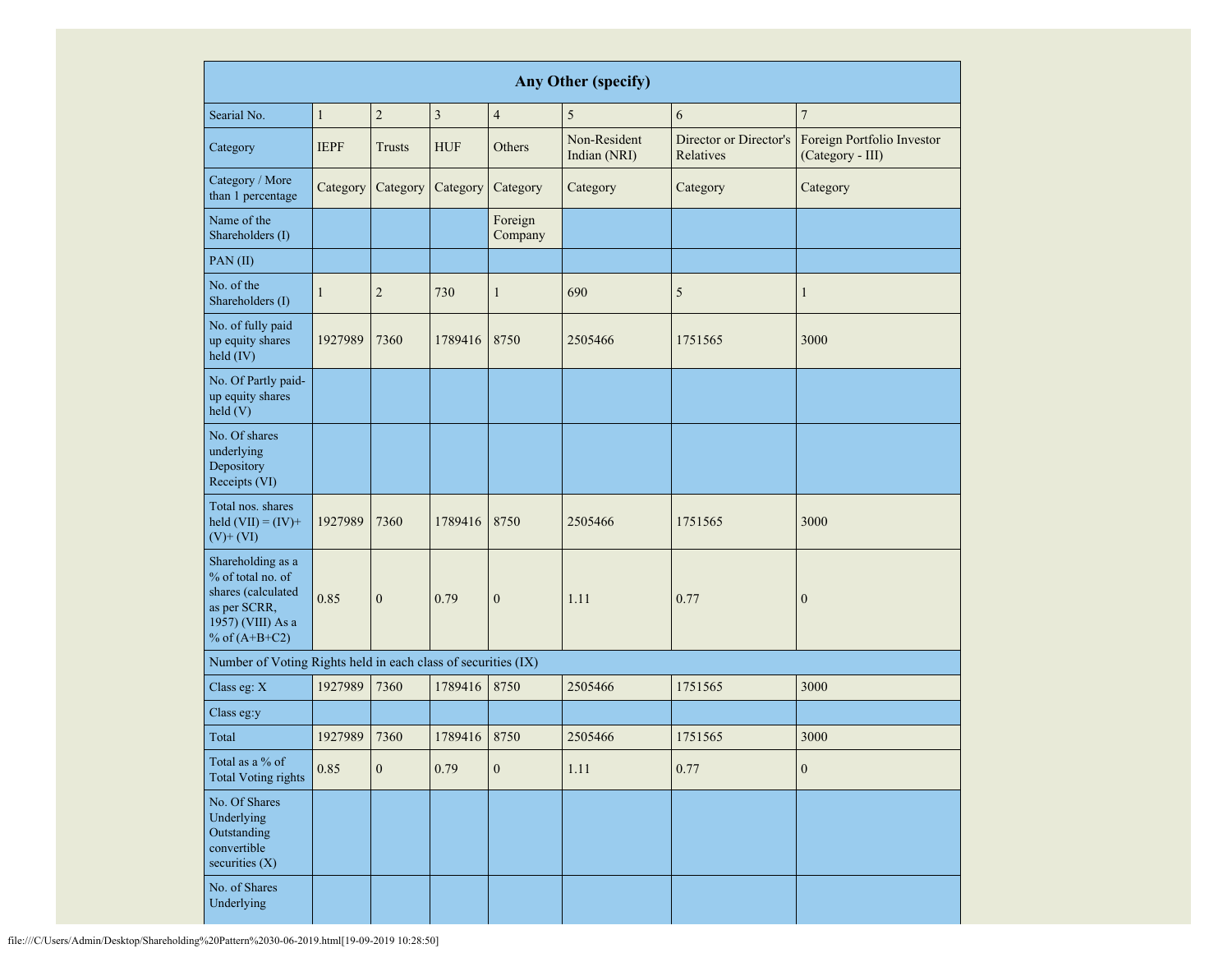| Any Other (specify)                                                                                                  |                            |                  |                 |                    |                              |                                     |                                                |  |  |  |  |
|----------------------------------------------------------------------------------------------------------------------|----------------------------|------------------|-----------------|--------------------|------------------------------|-------------------------------------|------------------------------------------------|--|--|--|--|
| Searial No.                                                                                                          | $\mathbf{1}$               | $\overline{c}$   | 3               | $\overline{4}$     | 5                            | 6                                   | $\overline{7}$                                 |  |  |  |  |
| Category                                                                                                             | <b>IEPF</b>                | <b>Trusts</b>    | <b>HUF</b>      | Others             | Non-Resident<br>Indian (NRI) | Director or Director's<br>Relatives | Foreign Portfolio Investor<br>(Category - III) |  |  |  |  |
| Category / More<br>than 1 percentage                                                                                 | Category                   | Category         | Category        | Category           | Category                     | Category                            | Category                                       |  |  |  |  |
| Name of the<br>Shareholders (I)                                                                                      |                            |                  |                 | Foreign<br>Company |                              |                                     |                                                |  |  |  |  |
| PAN(II)                                                                                                              |                            |                  |                 |                    |                              |                                     |                                                |  |  |  |  |
| No. of the<br>Shareholders (I)                                                                                       | $\mathbf{1}$               | $\overline{c}$   | 730             | $\mathbf{1}$       | 690                          | 5                                   | $\mathbf{1}$                                   |  |  |  |  |
| No. of fully paid<br>up equity shares<br>held (IV)                                                                   | 1927989<br>7360<br>1789416 |                  |                 | 8750               | 2505466                      | 1751565                             | 3000                                           |  |  |  |  |
| No. Of Partly paid-<br>up equity shares<br>held(V)                                                                   |                            |                  |                 |                    |                              |                                     |                                                |  |  |  |  |
| No. Of shares<br>underlying<br>Depository<br>Receipts (VI)                                                           |                            |                  |                 |                    |                              |                                     |                                                |  |  |  |  |
| Total nos. shares<br>held $(VII) = (IV) +$<br>$(V)$ + $(VI)$                                                         | 1927989                    | 7360             | 1789416<br>8750 |                    | 2505466                      | 1751565                             | 3000                                           |  |  |  |  |
| Shareholding as a<br>% of total no. of<br>shares (calculated<br>as per SCRR,<br>1957) (VIII) As a<br>% of $(A+B+C2)$ | 0.85                       | $\boldsymbol{0}$ | 0.79            | $\boldsymbol{0}$   | 1.11                         | 0.77                                | $\boldsymbol{0}$                               |  |  |  |  |
| Number of Voting Rights held in each class of securities (IX)                                                        |                            |                  |                 |                    |                              |                                     |                                                |  |  |  |  |
| Class eg: X                                                                                                          | 1927989                    | 7360             | 1789416         | 8750               | 2505466                      | 1751565                             | 3000                                           |  |  |  |  |
| Class eg:y                                                                                                           |                            |                  |                 |                    |                              |                                     |                                                |  |  |  |  |
| Total                                                                                                                | 1927989                    | 7360             | 1789416         | 8750               | 2505466                      | 1751565                             | 3000                                           |  |  |  |  |
| Total as a $\%$ of<br><b>Total Voting rights</b>                                                                     | 0.85                       | $\boldsymbol{0}$ | 0.79            | $\boldsymbol{0}$   | 1.11                         | 0.77                                | $\boldsymbol{0}$                               |  |  |  |  |
| No. Of Shares<br>Underlying<br>Outstanding<br>convertible<br>securities (X)                                          |                            |                  |                 |                    |                              |                                     |                                                |  |  |  |  |
| No. of Shares<br>Underlying                                                                                          |                            |                  |                 |                    |                              |                                     |                                                |  |  |  |  |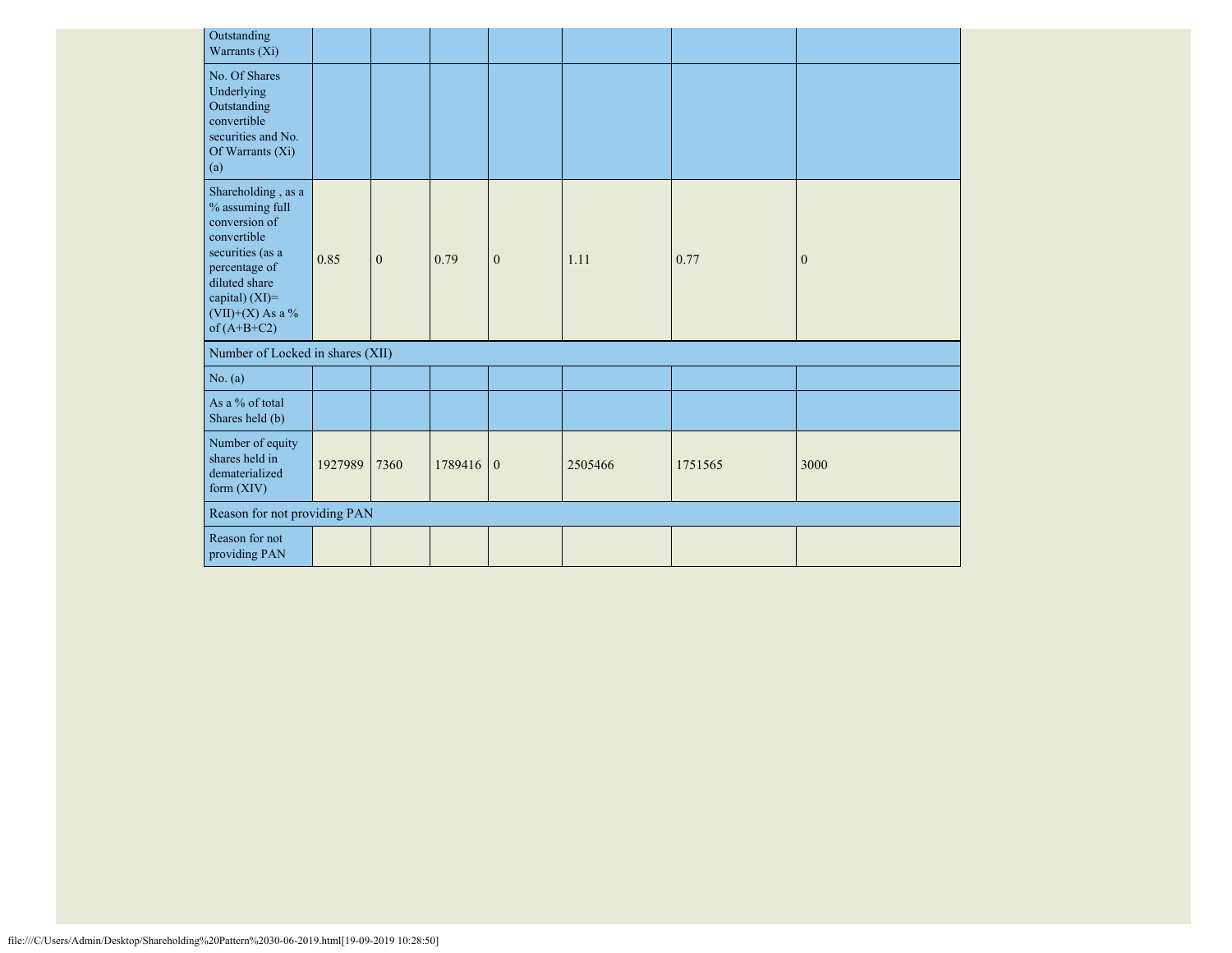| Outstanding<br>Warrants (Xi)                                                                                                                                                          |         |              |           |              |         |         |                |
|---------------------------------------------------------------------------------------------------------------------------------------------------------------------------------------|---------|--------------|-----------|--------------|---------|---------|----------------|
| No. Of Shares<br>Underlying<br>Outstanding<br>convertible<br>securities and No.<br>Of Warrants (Xi)<br>(a)                                                                            |         |              |           |              |         |         |                |
| Shareholding, as a<br>$\%$ assuming full<br>conversion of<br>convertible<br>securities (as a<br>percentage of<br>diluted share<br>capital) (XI)=<br>(VII)+(X) As a %<br>of $(A+B+C2)$ | 0.85    | $\mathbf{0}$ | 0.79      | $\mathbf{0}$ | 1.11    | 0.77    | $\overline{0}$ |
| Number of Locked in shares (XII)                                                                                                                                                      |         |              |           |              |         |         |                |
| No. (a)                                                                                                                                                                               |         |              |           |              |         |         |                |
| As a % of total<br>Shares held (b)                                                                                                                                                    |         |              |           |              |         |         |                |
| Number of equity<br>shares held in<br>dematerialized<br>form $(XIV)$                                                                                                                  | 1927989 | 7360         | 1789416 0 |              | 2505466 | 1751565 | 3000           |
| Reason for not providing PAN                                                                                                                                                          |         |              |           |              |         |         |                |
| Reason for not<br>providing PAN                                                                                                                                                       |         |              |           |              |         |         |                |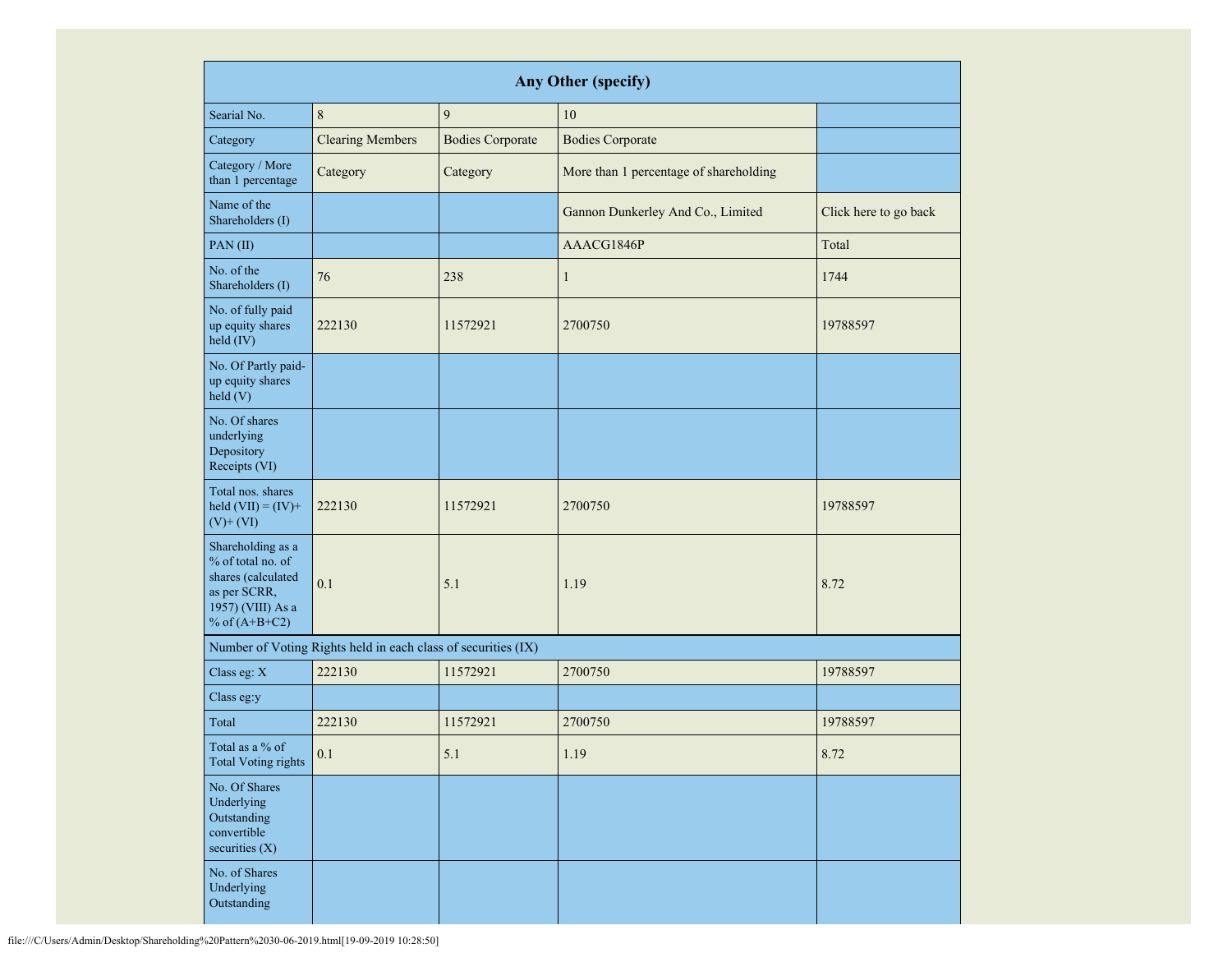| <b>Any Other (specify)</b>                                                                                           |                                                               |                         |                                        |                       |  |  |  |  |  |  |  |
|----------------------------------------------------------------------------------------------------------------------|---------------------------------------------------------------|-------------------------|----------------------------------------|-----------------------|--|--|--|--|--|--|--|
| Searial No.                                                                                                          | 8                                                             | $\overline{9}$          | 10                                     |                       |  |  |  |  |  |  |  |
| Category                                                                                                             | <b>Clearing Members</b>                                       | <b>Bodies Corporate</b> | <b>Bodies Corporate</b>                |                       |  |  |  |  |  |  |  |
| Category / More<br>than 1 percentage                                                                                 | Category                                                      | Category                | More than 1 percentage of shareholding |                       |  |  |  |  |  |  |  |
| Name of the<br>Shareholders (I)                                                                                      |                                                               |                         | Gannon Dunkerley And Co., Limited      | Click here to go back |  |  |  |  |  |  |  |
| PAN(II)                                                                                                              |                                                               |                         | AAACG1846P                             | Total                 |  |  |  |  |  |  |  |
| No. of the<br>Shareholders (I)                                                                                       | 76                                                            | 238                     | $\mathbf{1}$                           | 1744                  |  |  |  |  |  |  |  |
| No. of fully paid<br>up equity shares<br>held (IV)                                                                   | 222130<br>11572921                                            |                         | 2700750                                | 19788597              |  |  |  |  |  |  |  |
| No. Of Partly paid-<br>up equity shares<br>held(V)                                                                   |                                                               |                         |                                        |                       |  |  |  |  |  |  |  |
| No. Of shares<br>underlying<br>Depository<br>Receipts (VI)                                                           |                                                               |                         |                                        |                       |  |  |  |  |  |  |  |
| Total nos. shares<br>held $(VII) = (IV) +$<br>$(V)$ + $(VI)$                                                         | 222130                                                        | 11572921                | 2700750                                | 19788597              |  |  |  |  |  |  |  |
| Shareholding as a<br>% of total no. of<br>shares (calculated<br>as per SCRR,<br>1957) (VIII) As a<br>% of $(A+B+C2)$ | 0.1<br>5.1                                                    |                         | 1.19                                   | 8.72                  |  |  |  |  |  |  |  |
|                                                                                                                      | Number of Voting Rights held in each class of securities (IX) |                         |                                        |                       |  |  |  |  |  |  |  |
| Class eg: X                                                                                                          | 222130                                                        | 11572921                | 2700750                                | 19788597              |  |  |  |  |  |  |  |
| Class eg:y                                                                                                           |                                                               |                         |                                        |                       |  |  |  |  |  |  |  |
| Total                                                                                                                | 222130                                                        | 11572921                | 2700750                                | 19788597              |  |  |  |  |  |  |  |
| Total as a % of<br><b>Total Voting rights</b>                                                                        | $0.1\,$                                                       | 5.1                     | 1.19                                   | 8.72                  |  |  |  |  |  |  |  |
| No. Of Shares<br>Underlying<br>Outstanding<br>convertible<br>securities (X)                                          |                                                               |                         |                                        |                       |  |  |  |  |  |  |  |
| No. of Shares<br>Underlying<br>Outstanding                                                                           |                                                               |                         |                                        |                       |  |  |  |  |  |  |  |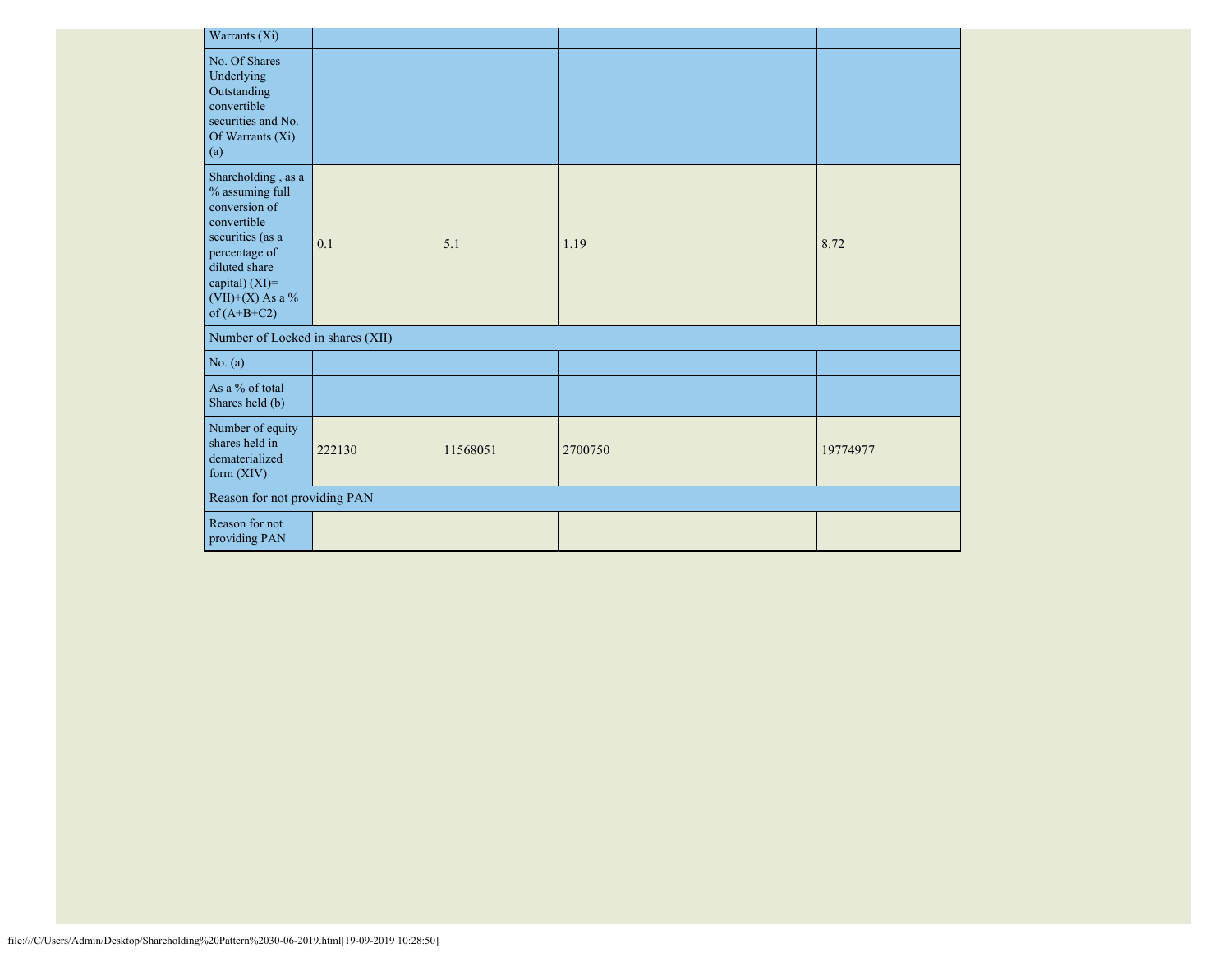| Warrants (Xi)                                                                                                                                                                              |        |          |         |          |
|--------------------------------------------------------------------------------------------------------------------------------------------------------------------------------------------|--------|----------|---------|----------|
| No. Of Shares<br>Underlying<br>Outstanding<br>convertible<br>securities and No.<br>Of Warrants (Xi)<br>(a)                                                                                 |        |          |         |          |
| Shareholding, as a<br>$\%$ assuming full<br>conversion of<br>convertible<br>securities (as a<br>percentage of<br>diluted share<br>capital) $(XI)$ =<br>$(VII)+(X)$ As a %<br>of $(A+B+C2)$ | 0.1    | 5.1      | 1.19    | 8.72     |
| Number of Locked in shares (XII)                                                                                                                                                           |        |          |         |          |
| No. (a)                                                                                                                                                                                    |        |          |         |          |
| As a % of total<br>Shares held (b)                                                                                                                                                         |        |          |         |          |
| Number of equity<br>shares held in<br>dematerialized<br>form $(XIV)$                                                                                                                       | 222130 | 11568051 | 2700750 | 19774977 |
| Reason for not providing PAN                                                                                                                                                               |        |          |         |          |
| Reason for not<br>providing PAN                                                                                                                                                            |        |          |         |          |